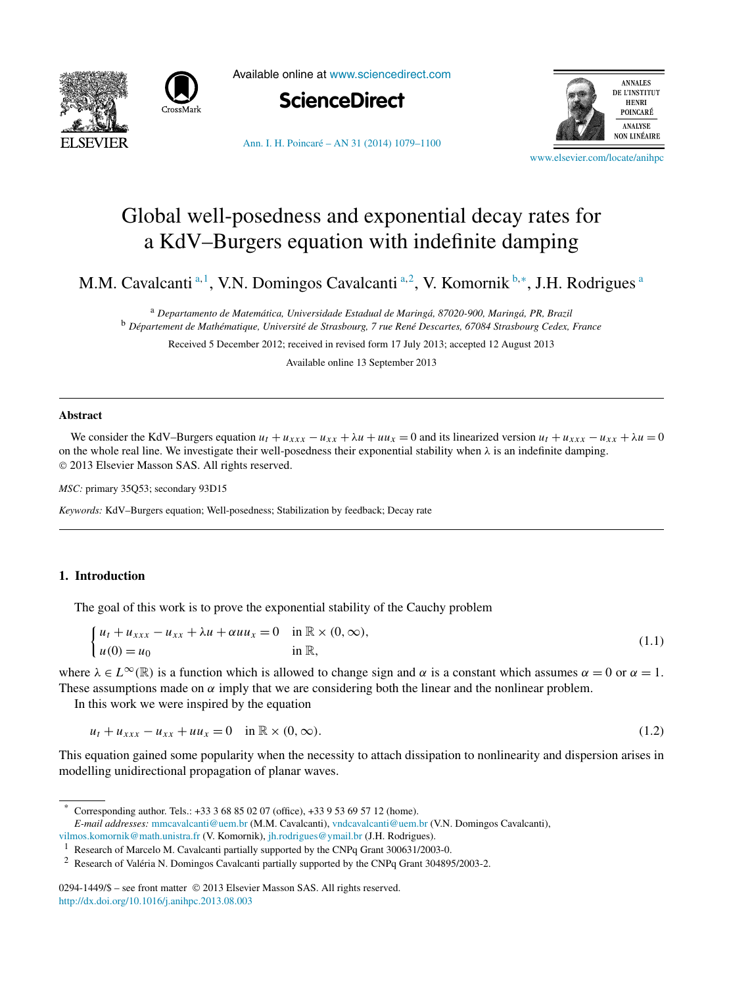<span id="page-0-0"></span>



Available online at [www.sciencedirect.com](http://www.sciencedirect.com)



[Ann. I. H. Poincaré – AN 31 \(2014\) 1079–1100](http://dx.doi.org/10.1016/j.anihpc.2013.08.003)



[www.elsevier.com/locate/anihpc](http://www.elsevier.com/locate/anihpc)

# Global well-posedness and exponential decay rates for a KdV–Burgers equation with indefinite damping

M.M. Cavalcanti<sup>a, 1</sup>, V.N. Domingos Cavalcanti<sup>a, 2</sup>, V. Komornik <sup>b,∗</sup>, J.H. Rodrigues<sup>a</sup>

<sup>a</sup> *Departamento de Matemática, Universidade Estadual de Maringá, 87020-900, Maringá, PR, Brazil* <sup>b</sup> *Département de Mathématique, Université de Strasbourg, 7 rue René Descartes, 67084 Strasbourg Cedex, France*

Received 5 December 2012; received in revised form 17 July 2013; accepted 12 August 2013

Available online 13 September 2013

#### **Abstract**

We consider the KdV–Burgers equation  $u_t + u_{xxx} - u_{xx} + \lambda u + uu_x = 0$  and its linearized version  $u_t + u_{xxx} - u_{xx} + \lambda u = 0$ on the whole real line. We investigate their well-posedness their exponential stability when *λ* is an indefinite damping. © 2013 Elsevier Masson SAS. All rights reserved.

*MSC:* primary 35Q53; secondary 93D15

*Keywords:* KdV–Burgers equation; Well-posedness; Stabilization by feedback; Decay rate

# **1. Introduction**

The goal of this work is to prove the exponential stability of the Cauchy problem

$$
\begin{cases}\n u_t + u_{xxx} - u_{xx} + \lambda u + \alpha u u_x = 0 & \text{in } \mathbb{R} \times (0, \infty), \\
u(0) = u_0 & \text{in } \mathbb{R},\n\end{cases}
$$
\n(1.1)

where  $\lambda \in L^{\infty}(\mathbb{R})$  is a function which is allowed to change sign and  $\alpha$  is a constant which assumes  $\alpha = 0$  or  $\alpha = 1$ . These assumptions made on  $\alpha$  imply that we are considering both the linear and the nonlinear problem.

In this work we were inspired by the equation

$$
u_t + u_{xxx} - u_{xx} + uu_x = 0 \quad \text{in } \mathbb{R} \times (0, \infty).
$$
 (1.2)

This equation gained some popularity when the necessity to attach dissipation to nonlinearity and dispersion arises in modelling unidirectional propagation of planar waves.

Corresponding author. Tels.: +33 3 68 85 02 07 (office), +33 9 53 69 57 12 (home).

*E-mail addresses:* [mmcavalcanti@uem.br](mailto:mmcavalcanti@uem.br) (M.M. Cavalcanti), [vndcavalcanti@uem.br](mailto:vndcavalcanti@uem.br) (V.N. Domingos Cavalcanti),

[vilmos.komornik@math.unistra.fr](mailto:vilmos.komornik@math.unistra.fr) (V. Komornik), [jh.rodrigues@ymail.br](mailto:jh.rodrigues@ymail.br) (J.H. Rodrigues).

<sup>&</sup>lt;sup>1</sup> Research of Marcelo M. Cavalcanti partially supported by the CNPq Grant 300631/2003-0.

<sup>2</sup> Research of Valéria N. Domingos Cavalcanti partially supported by the CNPq Grant 304895/2003-2.

<sup>0294-1449/\$ –</sup> see front matter © 2013 Elsevier Masson SAS. All rights reserved. <http://dx.doi.org/10.1016/j.anihpc.2013.08.003>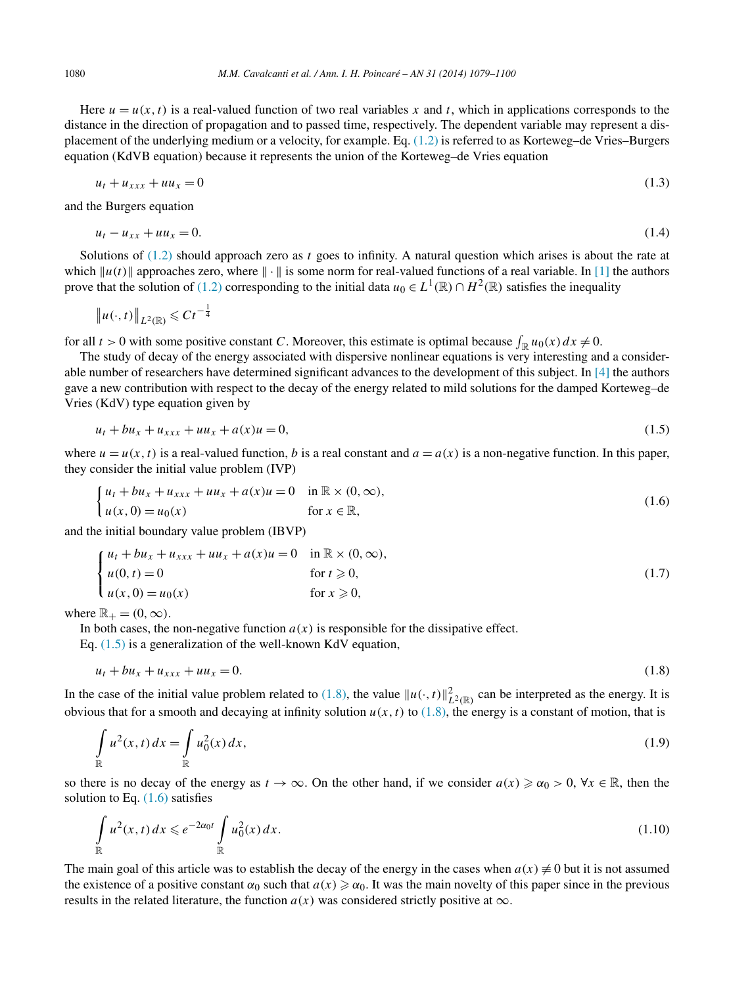<span id="page-1-0"></span>

Here  $u = u(x, t)$  is a real-valued function of two real variables x and t, which in applications corresponds to the distance in the direction of propagation and to passed time, respectively. The dependent variable may represent a displacement of the underlying medium or a velocity, for example. Eq. [\(1.2\)](#page-0-0) is referred to as Korteweg–de Vries–Burgers equation (KdVB equation) because it represents the union of the Korteweg–de Vries equation

$$
u_t + u_{xxx} + uu_x = 0 \tag{1.3}
$$

and the Burgers equation

$$
u_t - u_{xx} + uu_x = 0. \t\t(1.4)
$$

Solutions of [\(1.2\)](#page-0-0) should approach zero as *t* goes to infinity. A natural question which arises is about the rate at which  $||u(t)||$  approaches zero, where  $|| \cdot ||$  is some norm for real-valued functions of a real variable. In [\[1\]](#page-20-0) the authors prove that the solution of [\(1.2\)](#page-0-0) corresponding to the initial data  $u_0 \in L^1(\mathbb{R}) \cap H^2(\mathbb{R})$  satisfies the inequality

$$
\|u(\cdot,t)\|_{L^2(\mathbb{R})}\leqslant C t^{-\frac{1}{4}}
$$

for all  $t > 0$  with some positive constant *C*. Moreover, this estimate is optimal because  $\int_{\mathbb{R}} u_0(x) dx \neq 0$ .

The study of decay of the energy associated with dispersive nonlinear equations is very interesting and a considerable number of researchers have determined significant advances to the development of this subject. In [\[4\]](#page-20-0) the authors gave a new contribution with respect to the decay of the energy related to mild solutions for the damped Korteweg–de Vries (KdV) type equation given by

$$
u_t + bu_x + u_{xxx} + uu_x + a(x)u = 0,
$$
\n(1.5)

where  $u = u(x, t)$  is a real-valued function, *b* is a real constant and  $a = a(x)$  is a non-negative function. In this paper, they consider the initial value problem (IVP)

$$
\begin{cases} u_t + bu_x + u_{xxx} + uu_x + a(x)u = 0 & \text{in } \mathbb{R} \times (0, \infty), \\ u(x, 0) = u_0(x) & \text{for } x \in \mathbb{R}, \end{cases}
$$
 (1.6)

and the initial boundary value problem (IBVP)

$$
\begin{cases}\n u_t + bu_x + u_{xxx} + uu_x + a(x)u = 0 & \text{in } \mathbb{R} \times (0, \infty), \\
u(0, t) = 0 & \text{for } t \ge 0, \\
u(x, 0) = u_0(x) & \text{for } x \ge 0,\n\end{cases}
$$
\n(1.7)

where  $\mathbb{R}_+ = (0, \infty)$ .

In both cases, the non-negative function  $a(x)$  is responsible for the dissipative effect.

Eq. (1.5) is a generalization of the well-known KdV equation,

$$
u_t + bu_x + u_{xxx} + uu_x = 0. \t\t(1.8)
$$

In the case of the initial value problem related to (1.8), the value  $||u(\cdot, t)||_{L^2(\mathbb{R})}^2$  can be interpreted as the energy. It is obvious that for a smooth and decaying at infinity solution  $u(x, t)$  to (1.8), the energy is a constant of motion, that is

$$
\int_{\mathbb{R}} u^2(x,t) dx = \int_{\mathbb{R}} u_0^2(x) dx,
$$
\n(1.9)

so there is no decay of the energy as  $t \to \infty$ . On the other hand, if we consider  $a(x) \geq \alpha_0 > 0$ ,  $\forall x \in \mathbb{R}$ , then the solution to Eq. (1.6) satisfies

$$
\int_{\mathbb{R}} u^2(x,t) dx \leq e^{-2\alpha_0 t} \int_{\mathbb{R}} u_0^2(x) dx.
$$
\n(1.10)

The main goal of this article was to establish the decay of the energy in the cases when  $a(x) \neq 0$  but it is not assumed the existence of a positive constant  $\alpha_0$  such that  $a(x) \ge \alpha_0$ . It was the main novelty of this paper since in the previous results in the related literature, the function  $a(x)$  was considered strictly positive at  $\infty$ .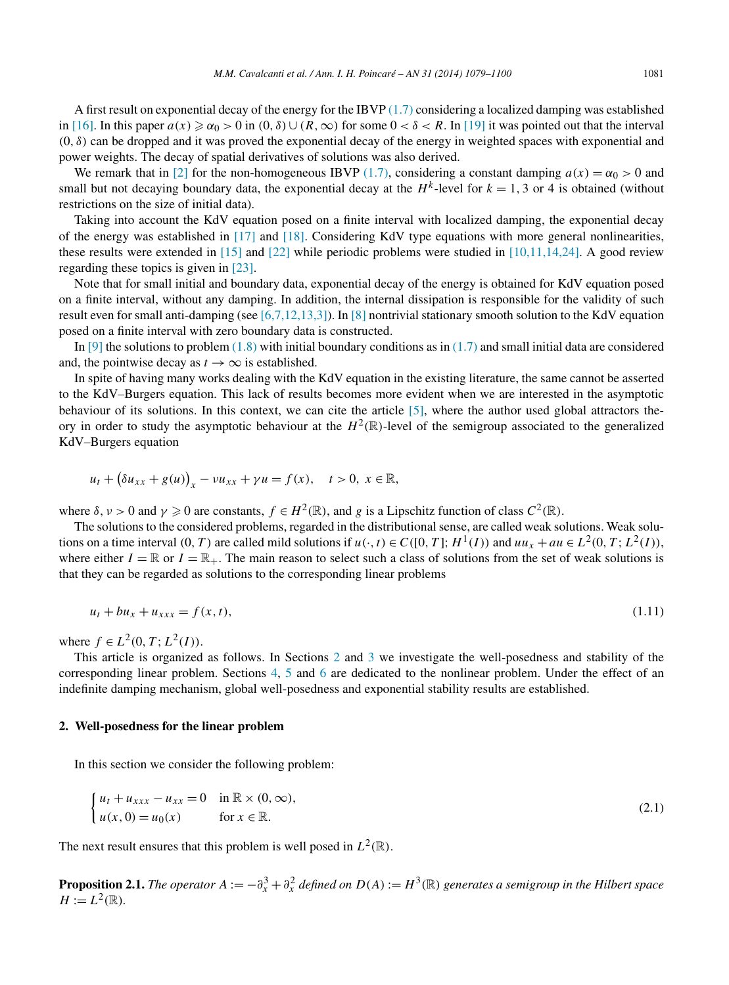<span id="page-2-0"></span>A first result on exponential decay of the energy for the IBVP [\(1.7\)](#page-1-0) considering a localized damping was established in [\[16\].](#page-21-0) In this paper  $a(x) \ge \alpha_0 > 0$  in  $(0, \delta) \cup (R, \infty)$  for some  $0 < \delta < R$ . In [\[19\]](#page-21-0) it was pointed out that the interval  $(0, \delta)$  can be dropped and it was proved the exponential decay of the energy in weighted spaces with exponential and power weights. The decay of spatial derivatives of solutions was also derived.

We remark that in [\[2\]](#page-20-0) for the non-homogeneous IBVP [\(1.7\),](#page-1-0) considering a constant damping  $a(x) = \alpha_0 > 0$  and small but not decaying boundary data, the exponential decay at the  $H^k$ -level for  $k = 1, 3$  or 4 is obtained (without restrictions on the size of initial data).

Taking into account the KdV equation posed on a finite interval with localized damping, the exponential decay of the energy was established in [\[17\]](#page-21-0) and [\[18\].](#page-21-0) Considering KdV type equations with more general nonlinearities, these results were extended in [\[15\]](#page-21-0) and [\[22\]](#page-21-0) while periodic problems were studied in [\[10,11,14,24\].](#page-21-0) A good review regarding these topics is given in [\[23\].](#page-21-0)

Note that for small initial and boundary data, exponential decay of the energy is obtained for KdV equation posed on a finite interval, without any damping. In addition, the internal dissipation is responsible for the validity of such result even for small anti-damping (see [\[6,7,12,13,3\]\)](#page-21-0). In [\[8\]](#page-21-0) nontrivial stationary smooth solution to the KdV equation posed on a finite interval with zero boundary data is constructed.

In [\[9\]](#page-21-0) the solutions to problem  $(1.8)$  with initial boundary conditions as in  $(1.7)$  and small initial data are considered and, the pointwise decay as  $t \to \infty$  is established.

In spite of having many works dealing with the KdV equation in the existing literature, the same cannot be asserted to the KdV–Burgers equation. This lack of results becomes more evident when we are interested in the asymptotic behaviour of its solutions. In this context, we can cite the article [\[5\],](#page-20-0) where the author used global attractors theory in order to study the asymptotic behaviour at the  $H^2(\mathbb{R})$ -level of the semigroup associated to the generalized KdV–Burgers equation

$$
u_t + \left(\delta u_{xx} + g(u)\right)_x - \nu u_{xx} + \gamma u = f(x), \quad t > 0, \ x \in \mathbb{R},
$$

where  $\delta, \nu > 0$  and  $\gamma \geq 0$  are constants,  $f \in H^2(\mathbb{R})$ , and g is a Lipschitz function of class  $C^2(\mathbb{R})$ .

The solutions to the considered problems, regarded in the distributional sense, are called weak solutions. Weak solutions on a time interval  $(0, T)$  are called mild solutions if  $u(\cdot, t) \in C([0, T]; H^1(I))$  and  $uu_x + au \in L^2(0, T; L^2(I))$ , where either  $I = \mathbb{R}$  or  $I = \mathbb{R}_+$ . The main reason to select such a class of solutions from the set of weak solutions is that they can be regarded as solutions to the corresponding linear problems

$$
u_t + bu_x + u_{xxx} = f(x, t),
$$
\n(1.11)

where  $f \in L^2(0, T; L^2(I))$ .

This article is organized as follows. In Sections 2 and [3](#page-4-0) we investigate the well-posedness and stability of the corresponding linear problem. Sections [4,](#page-6-0) [5](#page-12-0) and [6](#page-14-0) are dedicated to the nonlinear problem. Under the effect of an indefinite damping mechanism, global well-posedness and exponential stability results are established.

#### **2. Well-posedness for the linear problem**

In this section we consider the following problem:

$$
\begin{cases}\n u_t + u_{xxx} - u_{xx} = 0 & \text{in } \mathbb{R} \times (0, \infty), \\
u(x, 0) = u_0(x) & \text{for } x \in \mathbb{R}.\n\end{cases}
$$
\n(2.1)

The next result ensures that this problem is well posed in  $L^2(\mathbb{R})$ .

**Proposition 2.1.** *The operator*  $A := -\partial_x^3 + \partial_x^2$  *defined on*  $D(A) := H^3(\mathbb{R})$  generates a semigroup in the Hilbert space  $H := L^2(\mathbb{R})$ *.*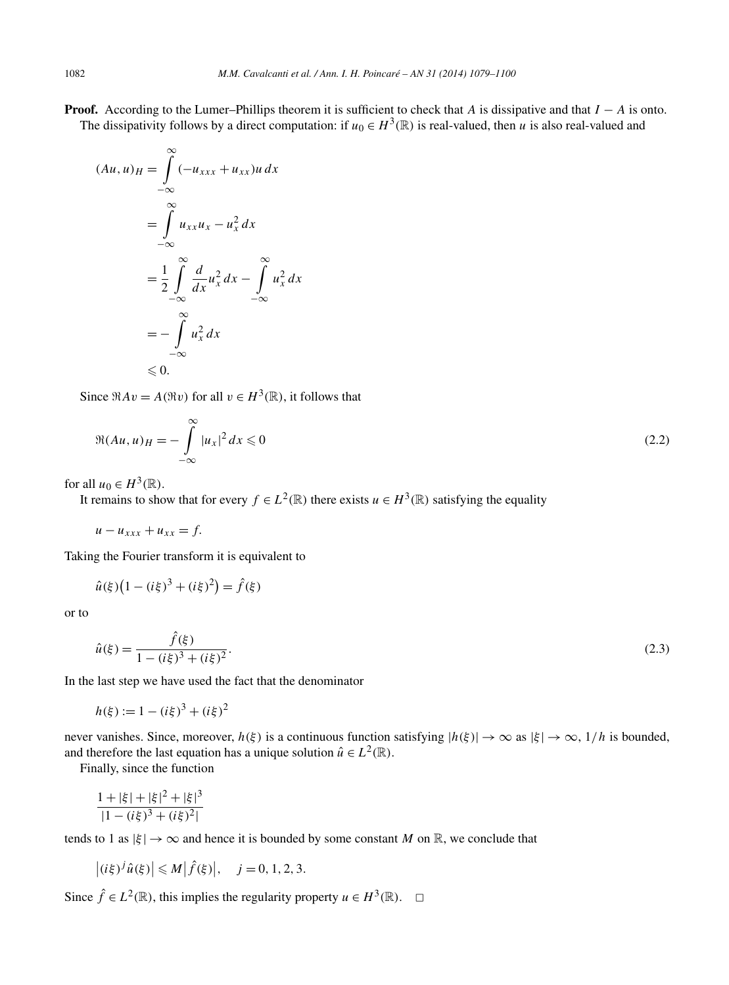<span id="page-3-0"></span>**Proof.** According to the Lumer–Phillips theorem it is sufficient to check that *A* is dissipative and that *I* − *A* is onto. The dissipativity follows by a direct computation: if  $u_0 \in H^3(\mathbb{R})$  is real-valued, then *u* is also real-valued and

$$
(Au, u)_H = \int_{-\infty}^{\infty} (-u_{xxx} + u_{xx})u \, dx
$$

$$
= \int_{-\infty}^{\infty} u_{xx}u_x - u_x^2 \, dx
$$

$$
= \frac{1}{2} \int_{-\infty}^{\infty} \frac{d}{dx} u_x^2 \, dx - \int_{-\infty}^{\infty} u_x^2 \, dx
$$

$$
= - \int_{-\infty}^{\infty} u_x^2 \, dx
$$

$$
\leq 0.
$$

Since  $\Re Av = A(\Re v)$  for all  $v \in H^3(\mathbb{R})$ , it follows that

$$
\Re(Au,u)_H = -\int_{-\infty}^{\infty} |u_x|^2 dx \leq 0
$$
\n(2.2)

for all  $u_0 \in H^3(\mathbb{R})$ .

It remains to show that for every  $f \in L^2(\mathbb{R})$  there exists  $u \in H^3(\mathbb{R})$  satisfying the equality

 $u - u_{xxx} + u_{xx} = f.$ 

Taking the Fourier transform it is equivalent to

$$
\hat{u}(\xi)(1 - (i\xi)^3 + (i\xi)^2) = \hat{f}(\xi)
$$

or to

$$
\hat{u}(\xi) = \frac{\hat{f}(\xi)}{1 - (i\xi)^3 + (i\xi)^2}.
$$
\n(2.3)

In the last step we have used the fact that the denominator

$$
h(\xi) := 1 - (i\xi)^3 + (i\xi)^2
$$

never vanishes. Since, moreover,  $h(\xi)$  is a continuous function satisfying  $|h(\xi)| \to \infty$  as  $|\xi| \to \infty$ ,  $1/h$  is bounded, and therefore the last equation has a unique solution  $\hat{u} \in L^2(\mathbb{R})$ .

Finally, since the function

$$
\frac{1+|\xi|+|\xi|^2+|\xi|^3}{|1-(i\xi)^3+(i\xi)^2|}
$$

tends to 1 as  $|\xi| \to \infty$  and hence it is bounded by some constant *M* on R, we conclude that

$$
\left| (i\xi)^j \hat{u}(\xi) \right| \leq M \left| \hat{f}(\xi) \right|, \quad j = 0, 1, 2, 3.
$$

Since  $\hat{f}$  ∈  $L^2(\mathbb{R})$ , this implies the regularity property  $u \in H^3(\mathbb{R})$ .  $\Box$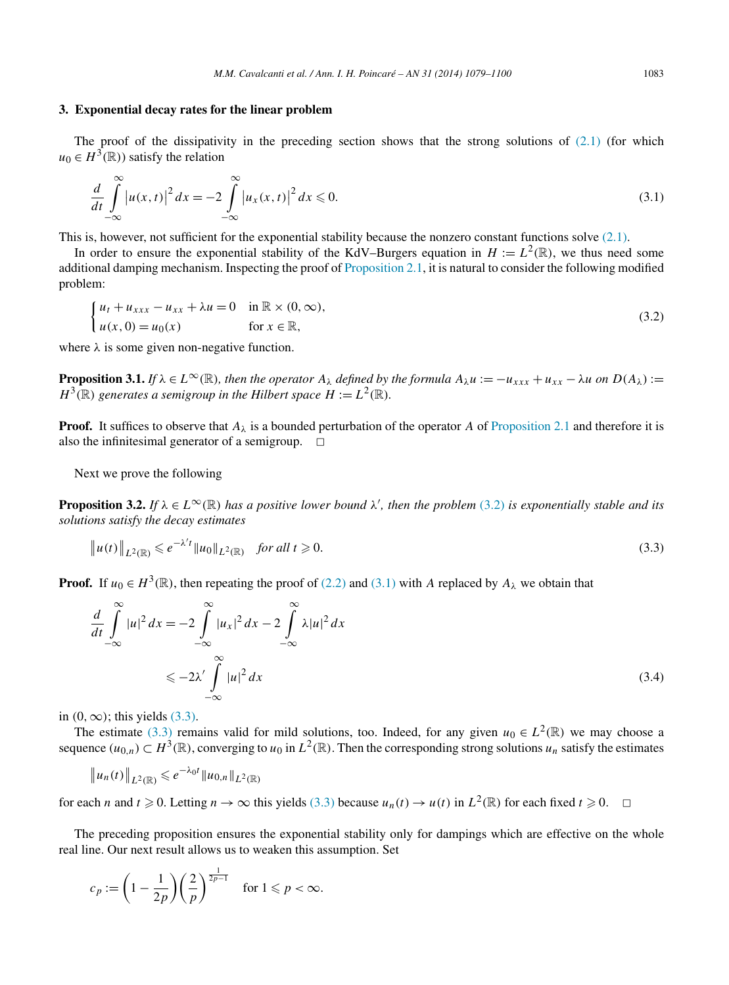#### <span id="page-4-0"></span>**3. Exponential decay rates for the linear problem**

The proof of the dissipativity in the preceding section shows that the strong solutions of  $(2.1)$  (for which  $u_0 \in H^3(\mathbb{R})$  satisfy the relation

$$
\frac{d}{dt} \int_{-\infty}^{\infty} |u(x,t)|^2 dx = -2 \int_{-\infty}^{\infty} |u_x(x,t)|^2 dx \le 0.
$$
\n(3.1)

This is, however, not sufficient for the exponential stability because the nonzero constant functions solve  $(2.1)$ .

In order to ensure the exponential stability of the KdV–Burgers equation in  $H := L^2(\mathbb{R})$ , we thus need some additional damping mechanism. Inspecting the proof of [Proposition 2.1,](#page-2-0) it is natural to consider the following modified problem:

$$
\begin{cases}\n u_t + u_{xxx} - u_{xx} + \lambda u = 0 & \text{in } \mathbb{R} \times (0, \infty), \\
u(x, 0) = u_0(x) & \text{for } x \in \mathbb{R},\n\end{cases}
$$
\n(3.2)

where  $\lambda$  is some given non-negative function.

**Proposition 3.1.** *If*  $\lambda \in L^{\infty}(\mathbb{R})$ *, then the operator*  $A_{\lambda}$  *defined by the formula*  $A_{\lambda}u := -u_{xxx} + u_{xx} - \lambda u$  *on*  $D(A_{\lambda}) :=$  $H^3(\mathbb{R})$  generates a semigroup in the Hilbert space  $H := L^2(\mathbb{R})$ *.* 

**Proof.** It suffices to observe that  $A_\lambda$  is a bounded perturbation of the operator *A* of [Proposition 2.1](#page-2-0) and therefore it is also the infinitesimal generator of a semigroup.  $\Box$ 

Next we prove the following

**Proposition 3.2.** If  $\lambda \in L^{\infty}(\mathbb{R})$  has a positive lower bound  $\lambda'$ , then the problem (3.2) is exponentially stable and its *solutions satisfy the decay estimates*

$$
\|u(t)\|_{L^{2}(\mathbb{R})} \leq e^{-\lambda' t} \|u_0\|_{L^{2}(\mathbb{R})} \quad \text{for all } t \geq 0.
$$
 (3.3)

**Proof.** If  $u_0 \in H^3(\mathbb{R})$ , then repeating the proof of [\(2.2\)](#page-3-0) and (3.1) with *A* replaced by  $A_\lambda$  we obtain that

$$
\frac{d}{dt} \int_{-\infty}^{\infty} |u|^2 dx = -2 \int_{-\infty}^{\infty} |u_x|^2 dx - 2 \int_{-\infty}^{\infty} \lambda |u|^2 dx
$$
  

$$
\leq -2\lambda' \int_{-\infty}^{\infty} |u|^2 dx
$$
 (3.4)

in  $(0, \infty)$ ; this yields  $(3.3)$ .

The estimate (3.3) remains valid for mild solutions, too. Indeed, for any given  $u_0 \in L^2(\mathbb{R})$  we may choose a sequence  $(u_{0,n}) \subset H^3(\mathbb{R})$ , converging to  $u_0$  in  $L^2(\mathbb{R})$ . Then the corresponding strong solutions  $u_n$  satisfy the estimates

$$
\|u_n(t)\|_{L^2(\mathbb{R})} \leq e^{-\lambda_0 t} \|u_{0,n}\|_{L^2(\mathbb{R})}
$$

for each *n* and  $t \ge 0$ . Letting  $n \to \infty$  this yields (3.3) because  $u_n(t) \to u(t)$  in  $L^2(\mathbb{R})$  for each fixed  $t \ge 0$ .  $\Box$ 

The preceding proposition ensures the exponential stability only for dampings which are effective on the whole real line. Our next result allows us to weaken this assumption. Set

$$
c_p := \left(1 - \frac{1}{2p}\right) \left(\frac{2}{p}\right)^{\frac{1}{2p-1}} \quad \text{for } 1 \leq p < \infty.
$$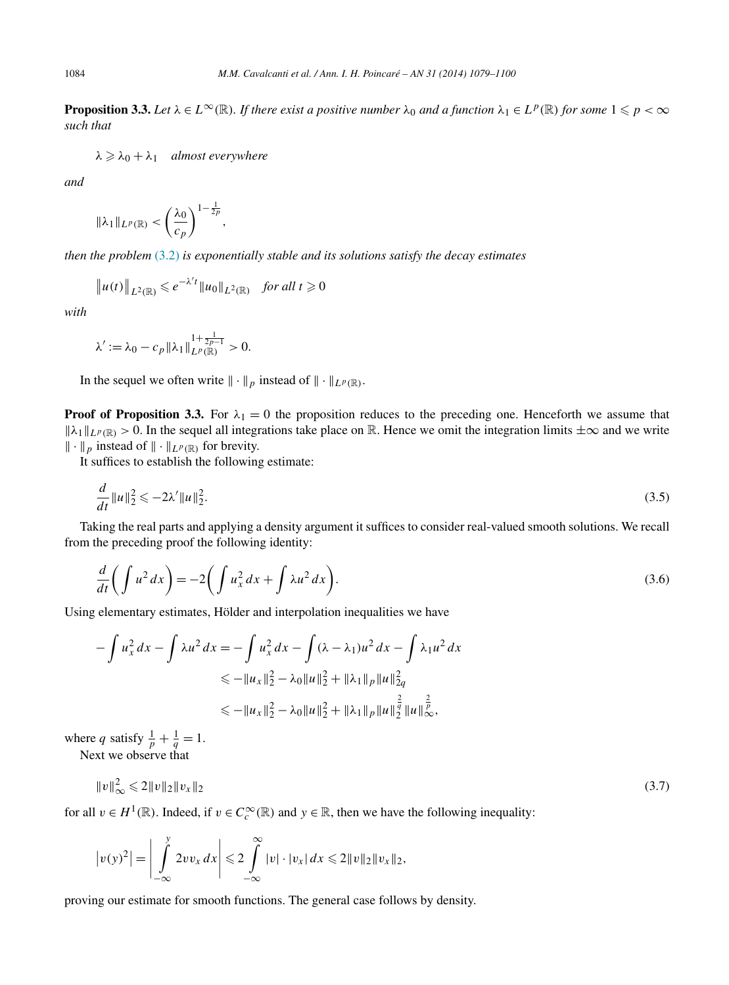<span id="page-5-0"></span>**Proposition 3.3.** Let  $\lambda \in L^{\infty}(\mathbb{R})$ . If there exist a positive number  $\lambda_0$  and a function  $\lambda_1 \in L^p(\mathbb{R})$  for some  $1 \leq p < \infty$ *such that*

 $λ \geq \lambda_0 + \lambda_1$  *almost everywhere* 

*and*

$$
\|\lambda_1\|_{L^p(\mathbb{R})}<\left(\frac{\lambda_0}{c_p}\right)^{1-\frac{1}{2p}},
$$

*then the problem* [\(3.2\)](#page-4-0) *is exponentially stable and its solutions satisfy the decay estimates*

$$
||u(t)||_{L^2(\mathbb{R})} \leq e^{-\lambda' t} ||u_0||_{L^2(\mathbb{R})} \quad \text{for all } t \geq 0
$$

*with*

$$
\lambda' := \lambda_0 - c_p \|\lambda_1\|_{L^p(\mathbb{R})}^{1 + \frac{1}{2p - 1}} > 0.
$$

In the sequel we often write  $\|\cdot\|_p$  instead of  $\|\cdot\|_{L^p(\mathbb{R})}$ .

**Proof of Proposition 3.3.** For  $\lambda_1 = 0$  the proposition reduces to the preceding one. Henceforth we assume that  $\|\lambda_1\|_{L^p(\mathbb{R})} > 0$ . In the sequel all integrations take place on R. Hence we omit the integration limits  $\pm \infty$  and we write  $\|\cdot\|_p$  instead of  $\|\cdot\|_{L^p(\mathbb{R})}$  for brevity.

It suffices to establish the following estimate:

$$
\frac{d}{dt}||u||_2^2 \leqslant -2\lambda' ||u||_2^2. \tag{3.5}
$$

Taking the real parts and applying a density argument it suffices to consider real-valued smooth solutions. We recall from the preceding proof the following identity:

$$
\frac{d}{dt}\left(\int u^2 dx\right) = -2\left(\int u_x^2 dx + \int \lambda u^2 dx\right).
$$
\n(3.6)

Using elementary estimates, Hölder and interpolation inequalities we have

$$
-\int u_x^2 dx - \int \lambda u^2 dx = -\int u_x^2 dx - \int (\lambda - \lambda_1)u^2 dx - \int \lambda_1 u^2 dx
$$
  
\n
$$
\le -\|u_x\|_2^2 - \lambda_0 \|u\|_2^2 + \|\lambda_1\|_p \|u\|_{2q}^2
$$
  
\n
$$
\le -\|u_x\|_2^2 - \lambda_0 \|u\|_2^2 + \|\lambda_1\|_p \|u\|_2^{\frac{2}{q}} \|u\|_{\infty}^{\frac{2}{p}},
$$

where *q* satisfy  $\frac{1}{p} + \frac{1}{q} = 1$ .

Next we observe that

$$
||v||_{\infty}^{2} \leq 2||v||_{2}||v_{x}||_{2} \tag{3.7}
$$

for all  $v \in H^1(\mathbb{R})$ . Indeed, if  $v \in C_c^\infty(\mathbb{R})$  and  $y \in \mathbb{R}$ , then we have the following inequality:

$$
\left|v(y)^2\right|=\left|\int\limits_{-\infty}^y 2vv_x\,dx\right|\leqslant 2\int\limits_{-\infty}^\infty |v|\cdot|v_x|\,dx\leqslant 2\|v\|_2\|v_x\|_2,
$$

proving our estimate for smooth functions. The general case follows by density.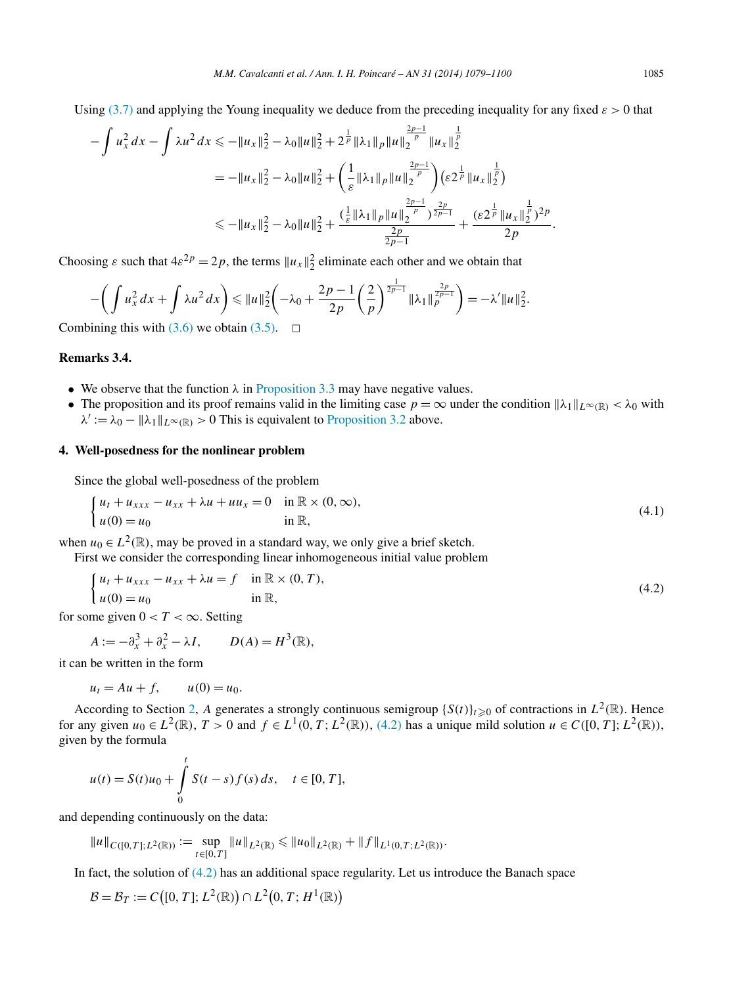<span id="page-6-0"></span>Using [\(3.7\)](#page-5-0) and applying the Young inequality we deduce from the preceding inequality for any fixed  $\varepsilon > 0$  that

$$
-\int u_x^2 dx - \int \lambda u^2 dx \le -\|u_x\|_2^2 - \lambda_0 \|u\|_2^2 + 2^{\frac{1}{p}} \|\lambda_1\|_p \|u\|_2^{\frac{2p-1}{p}} \|u_x\|_2^{\frac{1}{p}} = -\|u_x\|_2^2 - \lambda_0 \|u\|_2^2 + \left(\frac{1}{\varepsilon} \|\lambda_1\|_p \|u\|_2^{\frac{2p-1}{p}}\right) (\varepsilon 2^{\frac{1}{p}} \|u_x\|_2^{\frac{1}{p}}) \le -\|u_x\|_2^2 - \lambda_0 \|u\|_2^2 + \frac{(\frac{1}{\varepsilon} \|\lambda_1\|_p \|u\|_2^{\frac{2p-1}{p}})^{\frac{2p}{2p-1}}}{\frac{2p}{2p-1}} + \frac{(\varepsilon 2^{\frac{1}{p}} \|u_x\|_2^{\frac{1}{p}})^{2p}}{2p}.
$$

Choosing  $\varepsilon$  such that  $4\varepsilon^{2p} = 2p$ , the terms  $||u_x||_2^2$  eliminate each other and we obtain that

$$
-\bigg(\int u_x^2 dx + \int \lambda u^2 dx\bigg) \le \|u\|_2^2 \bigg(-\lambda_0 + \frac{2p-1}{2p} \bigg(\frac{2}{p}\bigg)^{\frac{1}{2p-1}} \|\lambda_1\|_p^{\frac{2p}{2p-1}}\bigg) = -\lambda' \|u\|_2^2.
$$

Combining this with  $(3.6)$  we obtain  $(3.5)$ .  $\Box$ 

# **Remarks 3.4.**

- We observe that the function  $\lambda$  in [Proposition 3.3](#page-5-0) may have negative values.
- The proposition and its proof remains valid in the limiting case  $p = \infty$  under the condition  $\|\lambda_1\|_{L^\infty(\mathbb{R})} < \lambda_0$  with  $\lambda' := \lambda_0 - ||\lambda_1||_{L^\infty(\mathbb{R})} > 0$  This is equivalent to [Proposition 3.2](#page-4-0) above.

#### **4. Well-posedness for the nonlinear problem**

Since the global well-posedness of the problem

$$
\begin{cases} u_t + u_{xxx} - u_{xx} + \lambda u + u u_x = 0 & \text{in } \mathbb{R} \times (0, \infty), \\ u(0) = u_0 & \text{in } \mathbb{R}, \end{cases}
$$
 (4.1)

when  $u_0 \in L^2(\mathbb{R})$ , may be proved in a standard way, we only give a brief sketch.

First we consider the corresponding linear inhomogeneous initial value problem

$$
\begin{cases} u_t + u_{xxx} - u_{xx} + \lambda u = f & \text{in } \mathbb{R} \times (0, T), \\ u(0) = u_0 & \text{in } \mathbb{R}, \end{cases}
$$
 (4.2)

for some given  $0 < T < \infty$ . Setting

$$
A := -\partial_x^3 + \partial_x^2 - \lambda I, \qquad D(A) = H^3(\mathbb{R}),
$$

it can be written in the form

$$
u_t = Au + f, \qquad u(0) = u_0.
$$

According to Section [2,](#page-2-0) A generates a strongly continuous semigroup  $\{S(t)\}_{t\geq0}$  of contractions in  $L^2(\mathbb{R})$ . Hence for any given  $u_0 \in L^2(\mathbb{R})$ ,  $T > 0$  and  $f \in L^1(0, T; L^2(\mathbb{R}))$ , (4.2) has a unique mild solution  $u \in C([0, T]; L^2(\mathbb{R}))$ , given by the formula

$$
u(t) = S(t)u_0 + \int_0^t S(t-s)f(s) ds, \quad t \in [0, T],
$$

and depending continuously on the data:

$$
||u||_{C([0,T];L^2(\mathbb{R}))} := \sup_{t \in [0,T]} ||u||_{L^2(\mathbb{R})} \le ||u_0||_{L^2(\mathbb{R})} + ||f||_{L^1(0,T;L^2(\mathbb{R}))}.
$$

In fact, the solution of (4.2) has an additional space regularity. Let us introduce the Banach space

$$
\mathcal{B} = \mathcal{B}_T := C\big([0, T]; L^2(\mathbb{R})\big) \cap L^2\big(0, T; H^1(\mathbb{R})\big)
$$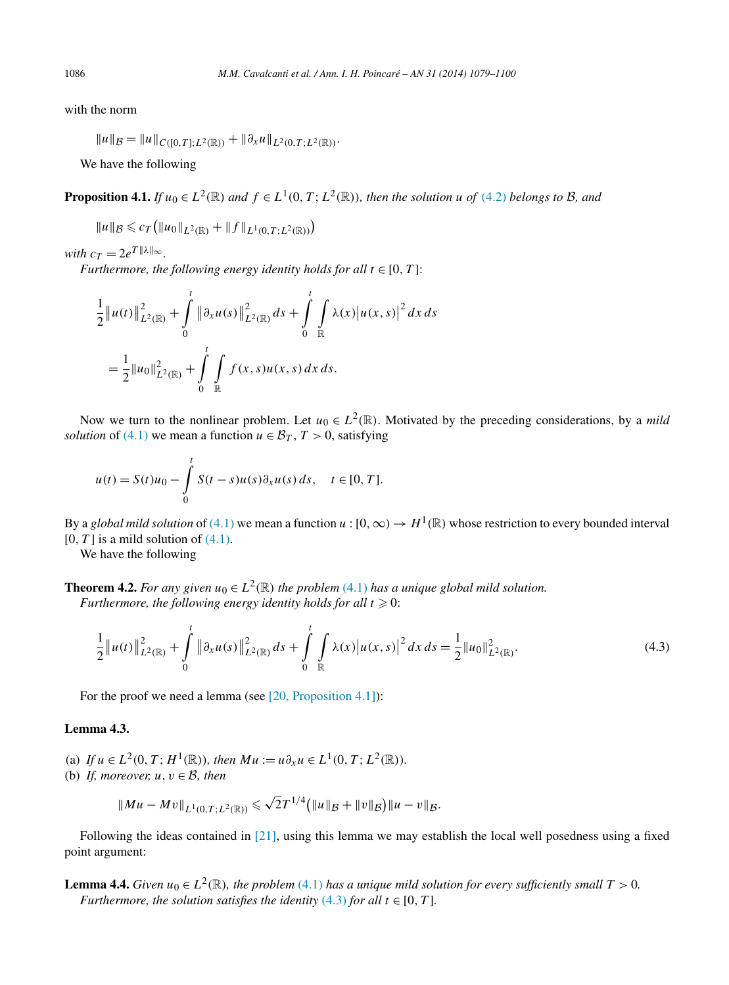with the norm

$$
||u||_{\mathcal{B}} = ||u||_{C([0,T];L^2(\mathbb{R}))} + ||\partial_x u||_{L^2(0,T;L^2(\mathbb{R}))}.
$$

We have the following

**Proposition 4.1.** If  $u_0 \in L^2(\mathbb{R})$  and  $f \in L^1(0, T; L^2(\mathbb{R}))$ , then the solution u of [\(4.2\)](#page-6-0) belongs to B, and

$$
||u||_{\mathcal{B}} \leq c_T (||u_0||_{L^2(\mathbb{R})} + ||f||_{L^1(0,T;L^2(\mathbb{R}))})
$$

*with*  $c_T = 2e^{T ||\lambda||_{\infty}}$ .

*Furthermore, the following energy identity holds for all*  $t \in [0, T]$ :

$$
\frac{1}{2} ||u(t)||_{L^{2}(\mathbb{R})}^{2} + \int_{0}^{t} ||\partial_{x}u(s)||_{L^{2}(\mathbb{R})}^{2} ds + \int_{0}^{t} \int_{\mathbb{R}} \lambda(x) |u(x, s)|^{2} dx ds
$$

$$
= \frac{1}{2} ||u_{0}||_{L^{2}(\mathbb{R})}^{2} + \int_{0}^{t} \int_{\mathbb{R}} f(x, s)u(x, s) dx ds.
$$

Now we turn to the nonlinear problem. Let  $u_0 \in L^2(\mathbb{R})$ . Motivated by the preceding considerations, by a *mild solution* of [\(4.1\)](#page-6-0) we mean a function  $u \in \mathcal{B}_T$ ,  $T > 0$ , satisfying

$$
u(t) = S(t)u_0 - \int_0^t S(t-s)u(s)\partial_x u(s) ds, \quad t \in [0, T].
$$

By a *global mild solution* of [\(4.1\)](#page-6-0) we mean a function  $u:[0,\infty) \to H^1(\mathbb{R})$  whose restriction to every bounded interval  $[0, T]$  is a mild solution of  $(4.1)$ .

We have the following

**Theorem 4.2.** *For any given*  $u_0 \in L^2(\mathbb{R})$  *the problem* [\(4.1\)](#page-6-0) *has a unique global mild solution. Furthermore, the following energy identity holds for all*  $t \ge 0$ :

$$
\frac{1}{2}||u(t)||_{L^{2}(\mathbb{R})}^{2} + \int_{0}^{t} ||\partial_{x}u(s)||_{L^{2}(\mathbb{R})}^{2} ds + \int_{0}^{t} \int_{\mathbb{R}} \lambda(x) |u(x,s)|^{2} dx ds = \frac{1}{2}||u_{0}||_{L^{2}(\mathbb{R})}^{2}.
$$
\n(4.3)

For the proof we need a lemma (see [\[20, Proposition 4.1\]\)](#page-21-0):

## **Lemma 4.3.**

- (a) *If*  $u \in L^2(0, T; H^1(\mathbb{R}))$ *, then*  $Mu := u \partial_x u \in L^1(0, T; L^2(\mathbb{R}))$ *.*
- (b) *If, moreover,*  $u, v \in \mathcal{B}$ *, then*

$$
||Mu - Mv||_{L^1(0,T;L^2(\mathbb{R}))} \le \sqrt{2}T^{1/4} (||u||_{\mathcal{B}} + ||v||_{\mathcal{B}}) ||u - v||_{\mathcal{B}}.
$$

Following the ideas contained in [\[21\],](#page-21-0) using this lemma we may establish the local well posedness using a fixed point argument:

**Lemma 4.4.** *Given*  $u_0 \in L^2(\mathbb{R})$ *, the problem* [\(4.1\)](#page-6-0) *has a unique mild solution for every sufficiently small*  $T > 0$ *. Furthermore, the solution satisfies the identity* (4.3) *for all*  $t \in [0, T]$ *.* 

<span id="page-7-0"></span>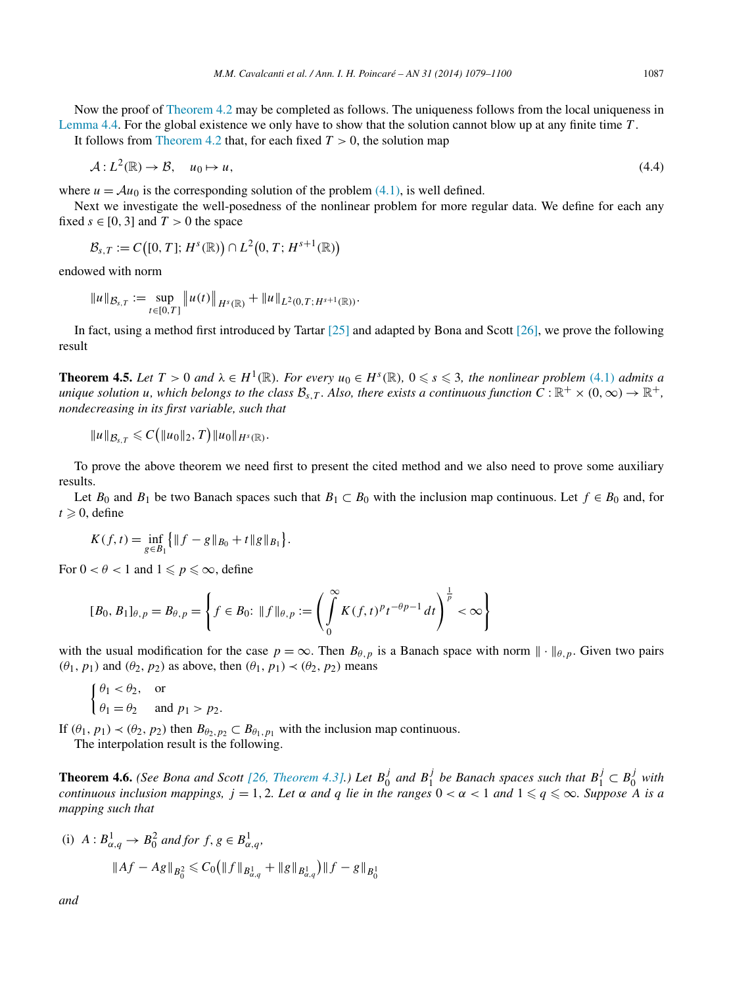<span id="page-8-0"></span>Now the proof of [Theorem 4.2](#page-7-0) may be completed as follows. The uniqueness follows from the local uniqueness in [Lemma 4.4.](#page-7-0) For the global existence we only have to show that the solution cannot blow up at any finite time *T* .

It follows from [Theorem](#page-6-0) 4.2 that, for each fixed  $T > 0$ , the solution map

$$
\mathcal{A}: L^2(\mathbb{R}) \to \mathcal{B}, \quad u_0 \mapsto u,\tag{4.4}
$$

where  $u = Au_0$  is the corresponding solution of the problem [\(4.1\),](#page-6-0) is well defined.

Next we investigate the well-posedness of the nonlinear problem for more regular data. We define for each any fixed  $s \in [0, 3]$  and  $T > 0$  the space

$$
\mathcal{B}_{s,T}:=C\big([0,T];H^s(\mathbb{R})\big)\cap L^2\big(0,T;H^{s+1}(\mathbb{R})\big)
$$

endowed with norm

$$
||u||_{\mathcal{B}_{s,T}} := \sup_{t \in [0,T]} ||u(t)||_{H^s(\mathbb{R})} + ||u||_{L^2(0,T;H^{s+1}(\mathbb{R}))}.
$$

In fact, using a method first introduced by Tartar  $[25]$  and adapted by Bona and Scott  $[26]$ , we prove the following result

**Theorem 4.5.** Let  $T > 0$  and  $\lambda \in H^1(\mathbb{R})$ . For every  $u_0 \in H^s(\mathbb{R})$ ,  $0 \leq s \leq 3$ , the nonlinear problem [\(4.1\)](#page-6-0) admits a *unique solution u, which belongs to the class*  $\mathcal{B}_{s,T}$ *. Also, there exists a continuous function*  $C : \mathbb{R}^+ \times (0, \infty) \to \mathbb{R}^+$ *, nondecreasing in its first variable, such that*

$$
||u||_{\mathcal{B}_{s,T}} \leqslant C (||u_0||_2, T) ||u_0||_{H^s(\mathbb{R})}.
$$

To prove the above theorem we need first to present the cited method and we also need to prove some auxiliary results.

Let  $B_0$  and  $B_1$  be two Banach spaces such that  $B_1 \subset B_0$  with the inclusion map continuous. Let  $f \in B_0$  and, for  $t \geqslant 0$ , define

$$
K(f,t) = \inf_{g \in B_1} \{ \|f - g\|_{B_0} + t \|g\|_{B_1} \}.
$$

For  $0 < \theta < 1$  and  $1 \leqslant p \leqslant \infty$ , define

$$
[B_0, B_1]_{\theta, p} = B_{\theta, p} = \left\{ f \in B_0: \|f\|_{\theta, p} := \left( \int_0^\infty K(f, t)^p t^{-\theta p - 1} \, dt \right)^{\frac{1}{p}} < \infty \right\}
$$

with the usual modification for the case  $p = \infty$ . Then  $B_{\theta, p}$  is a Banach space with norm  $\|\cdot\|_{\theta, p}$ . Given two pairs  $(\theta_1, p_1)$  and  $(\theta_2, p_2)$  as above, then  $(\theta_1, p_1) \prec (\theta_2, p_2)$  means

$$
\begin{cases} \theta_1 < \theta_2, \quad \text{or} \\ \theta_1 = \theta_2 & \text{and } p_1 > p_2. \end{cases}
$$

If  $(\theta_1, p_1) \prec (\theta_2, p_2)$  then  $B_{\theta_2, p_2} \subset B_{\theta_1, p_1}$  with the inclusion map continuous. The interpolation result is the following.

**Theorem 4.6.** (See Bona and Scott [\[26, Theorem 4.3\].](#page-21-0)) Let  $B_0^j$  and  $B_1^j$  be Banach spaces such that  $B_1^j \subset B_0^j$  with *continuous inclusion mappings,*  $j = 1, 2$ *. Let*  $\alpha$  *and*  $q$  *lie in the ranges*  $0 < \alpha < 1$  and  $1 \leqslant q \leqslant \infty$ . Suppose A is a *mapping such that*

(i) 
$$
A: B^1_{\alpha,q} \to B^2_0
$$
 and for  $f, g \in B^1_{\alpha,q}$ ,  
 $||Af - Ag||_{B^2_0} \leq C_0 (||f||_{B^1_{\alpha,q}} + ||g||_{B^1_{\alpha,q}}) ||f - g||_{B^1_0}$ 

*and*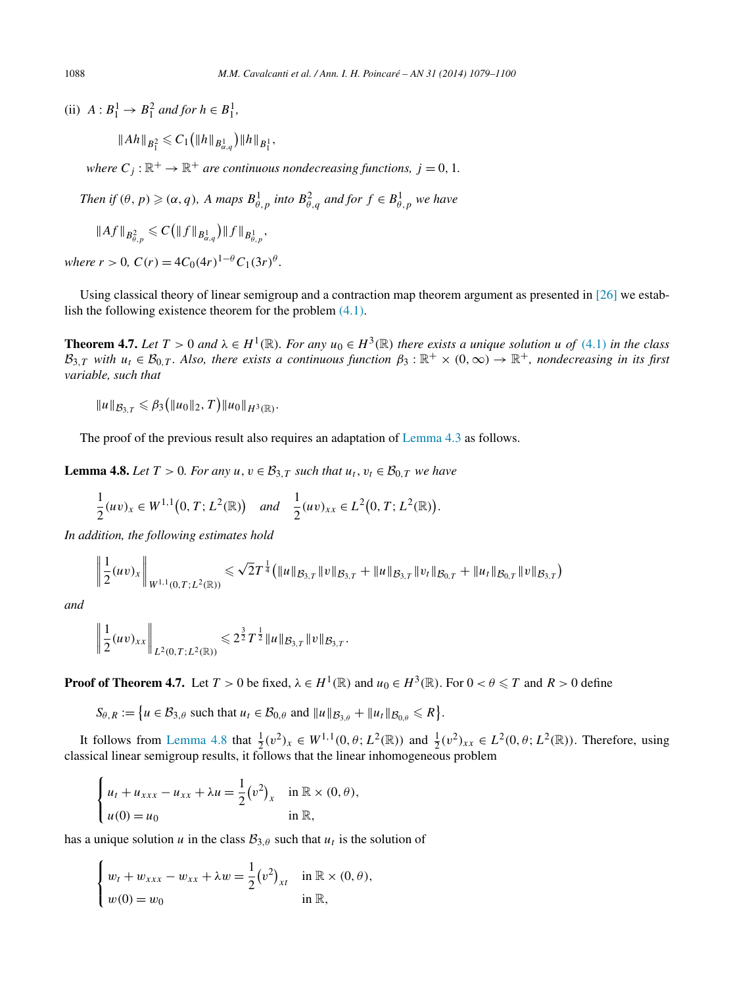(ii)  $A: B_1^1 \to B_1^2$  *and for*  $h \in B_1^1$ *,* 

$$
||Ah||_{B_1^2} \leqslant C_1 (||h||_{B_{\alpha,q}^1}) ||h||_{B_1^1},
$$

*where*  $C_i$ :  $\mathbb{R}^+ \to \mathbb{R}^+$  *are continuous nondecreasing functions,*  $j = 0, 1$ *.* 

*Then if*  $(\theta, p) \geqslant (\alpha, q)$ *, A maps*  $B^1_{\theta, p}$  *into*  $B^2_{\theta, q}$  *and for*  $f \in B^1_{\theta, p}$  *we have* 

$$
||Af||_{B^2_{\theta,p}} \leqslant C \big( ||f||_{B^1_{\alpha,q}} \big) ||f||_{B^1_{\theta,p}},
$$

*where*  $r > 0$ ,  $C(r) = 4C_0(4r)^{1-\theta}C_1(3r)^{\theta}$ .

Using classical theory of linear semigroup and a contraction map theorem argument as presented in [\[26\]](#page-21-0) we establish the following existence theorem for the problem [\(4.1\).](#page-6-0)

**Theorem 4.7.** Let  $T > 0$  and  $\lambda \in H^1(\mathbb{R})$ . For any  $u_0 \in H^3(\mathbb{R})$  there exists a unique solution u of [\(4.1\)](#page-6-0) in the class  $B_{3,T}$  *with*  $u_t \in \mathcal{B}_{0,T}$ *. Also, there exists a continuous function*  $\beta_3 : \mathbb{R}^+ \times (0,\infty) \to \mathbb{R}^+$ *, nondecreasing in its first variable, such that*

$$
||u||_{\mathcal{B}_{3,T}} \leq \beta_3 (||u_0||_2, T) ||u_0||_{H^3(\mathbb{R})}.
$$

The proof of the previous result also requires an adaptation of [Lemma 4.3](#page-7-0) as follows.

**Lemma 4.8.** *Let*  $T > 0$ *. For any*  $u, v \in \mathcal{B}_{3,T}$  *such that*  $u_t, v_t \in \mathcal{B}_{0,T}$  *we have* 

$$
\frac{1}{2}(uv)_x \in W^{1,1}(0,T;L^2(\mathbb{R})) \quad \text{and} \quad \frac{1}{2}(uv)_{xx} \in L^2(0,T;L^2(\mathbb{R})).
$$

*In addition, the following estimates hold*

$$
\left\|\frac{1}{2}(uv)_x\right\|_{W^{1,1}(0,T;L^2(\mathbb{R}))} \leq \sqrt{2}T^{\frac{1}{4}}\big(\|u\|_{\mathcal{B}_{3,T}}\|v\|_{\mathcal{B}_{3,T}} + \|u\|_{\mathcal{B}_{3,T}}\|v_t\|_{\mathcal{B}_{0,T}} + \|u_t\|_{\mathcal{B}_{0,T}}\|v\|_{\mathcal{B}_{3,T}}\big)
$$

*and*

$$
\left\|\frac{1}{2}(uv)_{xx}\right\|_{L^2(0,T;L^2(\mathbb{R}))} \leq 2^{\frac{3}{2}}T^{\frac{1}{2}}\|u\|_{\mathcal{B}_{3,T}}\|v\|_{\mathcal{B}_{3,T}}.
$$

**Proof of Theorem 4.7.** Let  $T > 0$  be fixed,  $\lambda \in H^1(\mathbb{R})$  and  $u_0 \in H^3(\mathbb{R})$ . For  $0 < \theta \le T$  and  $R > 0$  define

 $S_{\theta, R} := \{ u \in \mathcal{B}_{3, \theta} \text{ such that } u_t \in \mathcal{B}_{0, \theta} \text{ and } ||u||_{\mathcal{B}_{3, \theta}} + ||u_t||_{\mathcal{B}_{0, \theta}} \leq R \}.$ 

It follows from Lemma 4.8 that  $\frac{1}{2}(v^2)_x \in W^{1,1}(0,\theta;L^2(\mathbb{R}))$  and  $\frac{1}{2}(v^2)_{xx} \in L^2(0,\theta;L^2(\mathbb{R}))$ . Therefore, using classical linear semigroup results, it follows that the linear inhomogeneous problem

$$
\begin{cases} u_t + u_{xxx} - u_{xx} + \lambda u = \frac{1}{2} (v^2)_x & \text{in } \mathbb{R} \times (0, \theta), \\ u(0) = u_0 & \text{in } \mathbb{R}, \end{cases}
$$

has a unique solution *u* in the class  $B_{3,\theta}$  such that  $u_t$  is the solution of

$$
\begin{cases} w_t + w_{xxx} - w_{xx} + \lambda w = \frac{1}{2} (v^2)_{xt} & \text{in } \mathbb{R} \times (0, \theta), \\ w(0) = w_0 & \text{in } \mathbb{R}, \end{cases}
$$

<span id="page-9-0"></span>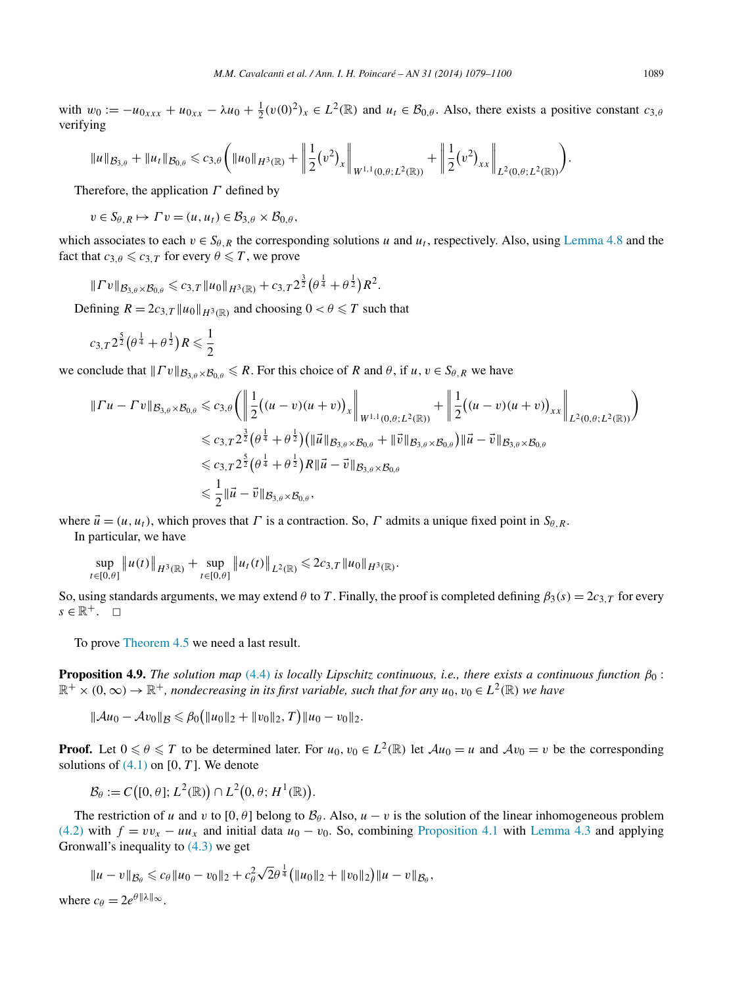<span id="page-10-0"></span>with  $w_0 := -u_{0_{xxx}} + u_{0_{xx}} - \lambda u_0 + \frac{1}{2}(v(0)^2)_x \in L^2(\mathbb{R})$  and  $u_t \in \mathcal{B}_{0,\theta}$ . Also, there exists a positive constant  $c_{3,\theta}$ verifying

$$
||u||_{\mathcal{B}_{3,\theta}} + ||u_t||_{\mathcal{B}_{0,\theta}} \leqslant c_{3,\theta} \bigg(||u_0||_{H^3(\mathbb{R})} + \bigg\|\frac{1}{2}(v^2)_x\bigg\|_{W^{1,1}(0,\theta;L^2(\mathbb{R}))} + \bigg\|\frac{1}{2}(v^2)_{xx}\bigg\|_{L^2(0,\theta;L^2(\mathbb{R}))}\bigg).
$$

Therefore, the application *Γ* defined by

 $v \in S_{\theta, R} \mapsto \Gamma v = (u, u_t) \in \mathcal{B}_{3, \theta} \times \mathcal{B}_{0, \theta}$ 

which associates to each  $v \in S_{\theta, R}$  the corresponding solutions *u* and  $u_t$ , respectively. Also, using [Lemma 4.8](#page-9-0) and the fact that  $c_{3,\theta} \leqslant c_{3,T}$  for every  $\theta \leqslant T$ , we prove

$$
||\Gamma v||_{\mathcal{B}_{3,\theta}\times\mathcal{B}_{0,\theta}} \leqslant c_{3,T} ||u_0||_{H^3(\mathbb{R})} + c_{3,T} 2^{\frac{3}{2}} (\theta^{\frac{1}{4}} + \theta^{\frac{1}{2}}) R^2.
$$

Defining  $R = 2c_{3,T} ||u_0||_{H^3(\mathbb{R})}$  and choosing  $0 < \theta \leq T$  such that

$$
c_{3,T} 2^{\frac{5}{2}} (\theta^{\frac{1}{4}} + \theta^{\frac{1}{2}}) R \leq \frac{1}{2}
$$

we conclude that  $||\Gamma v||_{\mathcal{B}_{3,\theta}\times\mathcal{B}_{0,\theta}} \le R$ . For this choice of *R* and  $\theta$ , if  $u, v \in S_{\theta, R}$  we have

$$
\|Tu - Tv\|_{\mathcal{B}_{3,\theta}\times\mathcal{B}_{0,\theta}} \leq c_{3,\theta} \bigg( \left\| \frac{1}{2} ((u - v)(u + v))_{x} \right\|_{W^{1,1}(0,\theta;L^{2}(\mathbb{R}))} + \left\| \frac{1}{2} ((u - v)(u + v))_{xx} \right\|_{L^{2}(0,\theta;L^{2}(\mathbb{R}))} \bigg)
$$
  

$$
\leq c_{3,T} 2^{\frac{3}{2}} (\theta^{\frac{1}{4}} + \theta^{\frac{1}{2}}) (\|\vec{u}\|_{\mathcal{B}_{3,\theta}\times\mathcal{B}_{0,\theta}} + \|\vec{v}\|_{\mathcal{B}_{3,\theta}\times\mathcal{B}_{0,\theta}}) \|\vec{u} - \vec{v}\|_{\mathcal{B}_{3,\theta}\times\mathcal{B}_{0,\theta}}
$$
  

$$
\leq c_{3,T} 2^{\frac{5}{2}} (\theta^{\frac{1}{4}} + \theta^{\frac{1}{2}}) R \|\vec{u} - \vec{v}\|_{\mathcal{B}_{3,\theta}\times\mathcal{B}_{0,\theta}}
$$
  

$$
\leq \frac{1}{2} \|\vec{u} - \vec{v}\|_{\mathcal{B}_{3,\theta}\times\mathcal{B}_{0,\theta}},
$$

where  $\vec{u} = (u, u_t)$ , which proves that *Γ* is a contraction. So, *Γ* admits a unique fixed point in  $S_{\theta, R}$ . In particular, we have

$$
\sup_{t\in[0,\theta]}\|u(t)\|_{H^3(\mathbb{R})}+\sup_{t\in[0,\theta]}\|u_t(t)\|_{L^2(\mathbb{R})}\leq 2c_{3,T}\|u_0\|_{H^3(\mathbb{R})}.
$$

So, using standards arguments, we may extend *θ* to *T*. Finally, the proof is completed defining  $\beta_3(s) = 2c_{3,T}$  for every  $s \in \mathbb{R}^+$ .  $\Box$ 

To prove [Theorem](#page-8-0) 4.5 we need a last result.

**Proposition 4.9.** *The solution map* [\(4.4\)](#page-8-0) *is locally Lipschitz continuous, i.e., there exists a continuous function β*<sup>0</sup> :  $\mathbb{R}^+ \times (0,\infty) \to \mathbb{R}^+$ , nondecreasing in its first variable, such that for any  $u_0, v_0 \in L^2(\mathbb{R})$  we have

 $||Au_0 - Av_0||_B \le \beta_0 (||u_0||_2 + ||v_0||_2, T) ||u_0 - v_0||_2.$ 

**Proof.** Let  $0 \le \theta \le T$  to be determined later. For  $u_0, v_0 \in L^2(\mathbb{R})$  let  $Au_0 = u$  and  $Av_0 = v$  be the corresponding solutions of  $(4.1)$  on  $[0, T]$ . We denote

$$
\mathcal{B}_{\theta} := C([0,\theta];L^2(\mathbb{R})) \cap L^2(0,\theta;H^1(\mathbb{R})).
$$

The restriction of *u* and *v* to [0,  $\theta$ ] belong to  $\mathcal{B}_{\theta}$ . Also, *u* − *v* is the solution of the linear inhomogeneous problem [\(4.2\)](#page-6-0) with  $f = v v_x - u u_x$  and initial data  $u_0 - v_0$ . So, combining [Proposition 4.1](#page-7-0) with [Lemma 4.3](#page-7-0) and applying Gronwall's inequality to  $(4.3)$  we get

$$
||u - v||_{\mathcal{B}_{\theta}} \leq c_{\theta} ||u_0 - v_0||_2 + c_{\theta}^2 \sqrt{2} \theta^{\frac{1}{4}} (||u_0||_2 + ||v_0||_2) ||u - v||_{\mathcal{B}_{\theta}},
$$

where  $c_{\theta} = 2e^{\theta ||\lambda||_{\infty}}$ .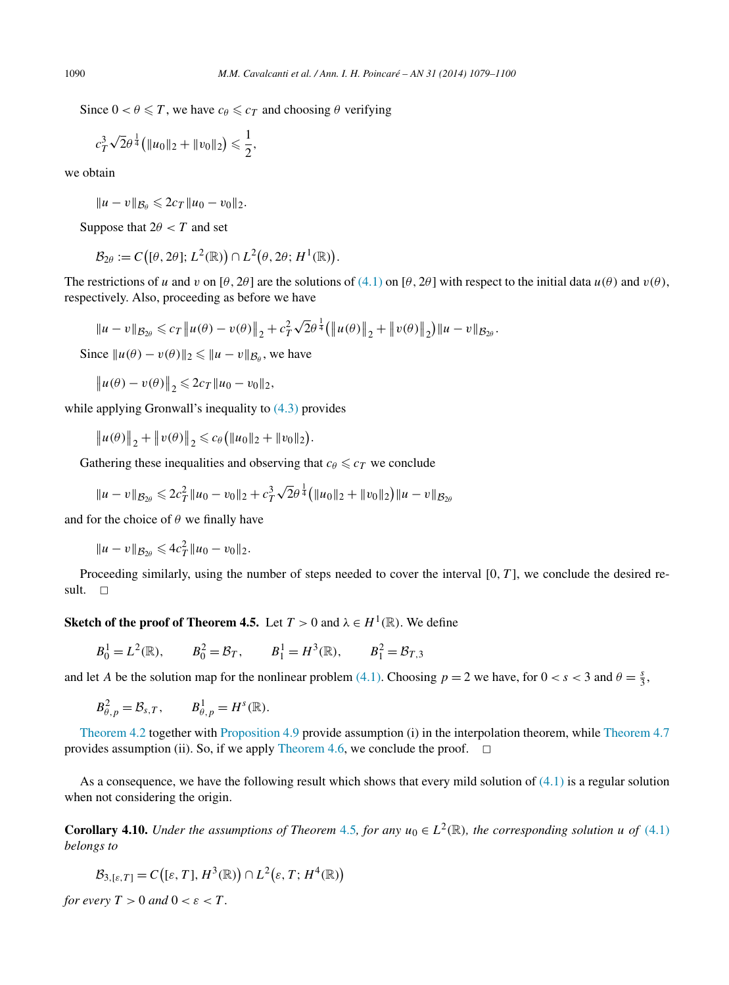<span id="page-11-0"></span>Since  $0 < \theta \leq T$ , we have  $c_{\theta} \leq c_T$  and choosing  $\theta$  verifying

$$
c_T^3 \sqrt{2} \theta^{\frac{1}{4}} \big( \|u_0\|_2 + \|v_0\|_2 \big) \leq \frac{1}{2},
$$

we obtain

 $||u - v||_{\mathcal{B}_{\theta}} \leq 2c_T ||u_0 - v_0||_2.$ 

Suppose that  $2\theta < T$  and set

 $\mathcal{B}_{2\theta} := C((\theta, 2\theta); L^2(\mathbb{R})) \cap L^2(\theta, 2\theta; H^1(\mathbb{R})).$ 

The restrictions of *u* and *v* on  $[\theta, 2\theta]$  are the solutions of [\(4.1\)](#page-6-0) on  $[\theta, 2\theta]$  with respect to the initial data  $u(\theta)$  and  $v(\theta)$ , respectively. Also, proceeding as before we have

$$
||u - v||_{\mathcal{B}_{2\theta}} \leq c_T ||u(\theta) - v(\theta)||_2 + c_T^2 \sqrt{2\theta^{\frac{1}{4}}} (||u(\theta)||_2 + ||v(\theta)||_2) ||u - v||_{\mathcal{B}_{2\theta}}.
$$

Since  $||u(\theta) - v(\theta)||_2 \le ||u - v||_{\mathcal{B}_{\theta}}$ , we have

 $||u(\theta) - v(\theta)||_2 \leq 2c_T ||u_0 - v_0||_2,$ 

while applying Gronwall's inequality to  $(4.3)$  provides

 $\|u(\theta)\|_2 + \|v(\theta)\|_2 \leq c_\theta \left(\|u_0\|_2 + \|v_0\|_2\right).$ 

Gathering these inequalities and observing that  $c_{\theta} \leqslant c_T$  we conclude

$$
||u - v||_{\mathcal{B}_{2\theta}} \leq 2c_T^2 ||u_0 - v_0||_2 + c_T^3 \sqrt{2} \theta^{\frac{1}{4}} (||u_0||_2 + ||v_0||_2) ||u - v||_{\mathcal{B}_{2\theta}}
$$

and for the choice of  $\theta$  we finally have

 $||u - v||_{\mathcal{B}_{2\theta}} \leqslant 4c_T^2 ||u_0 - v_0||_2.$ 

Proceeding similarly, using the number of steps needed to cover the interval [0*, T* ], we conclude the desired result.  $\Box$ 

**Sketch of the proof of Theorem 4.5.** Let  $T > 0$  and  $\lambda \in H^1(\mathbb{R})$ . We define

$$
B_0^1 = L^2(\mathbb{R}),
$$
  $B_0^2 = \mathcal{B}_T,$   $B_1^1 = H^3(\mathbb{R}),$   $B_1^2 = \mathcal{B}_{T,3}$ 

and let *A* be the solution map for the nonlinear problem [\(4.1\).](#page-6-0) Choosing  $p = 2$  we have, for  $0 < s < 3$  and  $\theta = \frac{s}{3}$ ,

$$
B_{\theta,p}^2 = \mathcal{B}_{s,T}, \qquad B_{\theta,p}^1 = H^s(\mathbb{R}).
$$

[Theorem 4.2](#page-6-0) together with [Proposition 4.9](#page-10-0) provide assumption (i) in the interpolation theorem, while [Theorem 4.7](#page-9-0) provides assumption (ii). So, if we apply [Theorem 4.6,](#page-8-0) we conclude the proof.  $\Box$ 

As a consequence, we have the following result which shows that every mild solution of  $(4.1)$  is a regular solution when not considering the origin.

**Corollary 4.10.** *Under the assumptions of Theorem* [4.5](#page-8-0)*, for any*  $u_0 \in L^2(\mathbb{R})$ *, the corresponding solution u of* [\(4.1\)](#page-6-0) *belongs to*

$$
\mathcal{B}_{3,[\varepsilon,T]}=C\big([\varepsilon,T],H^3(\mathbb{R})\big)\cap L^2(\varepsilon,T;H^4(\mathbb{R}))
$$

*for every*  $T > 0$  *and*  $0 < \varepsilon < T$ .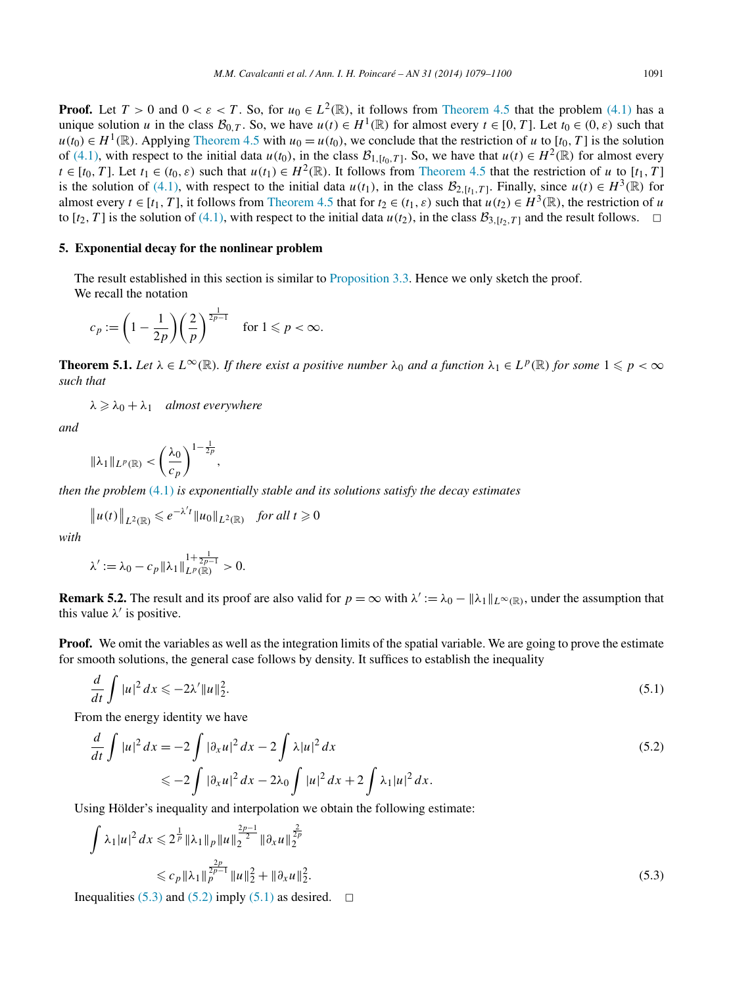<span id="page-12-0"></span>**Proof.** Let  $T > 0$  and  $0 < \varepsilon < T$ . So, for  $u_0 \in L^2(\mathbb{R})$ , it follows from [Theorem 4.5](#page-8-0) that the problem [\(4.1\)](#page-6-0) has a unique solution *u* in the class  $\mathcal{B}_{0,T}$ . So, we have  $u(t) \in H^1(\mathbb{R})$  for almost every  $t \in [0,T]$ . Let  $t_0 \in (0,\varepsilon)$  such that  $u(t_0) \in H^1(\mathbb{R})$ . Applying [Theorem 4.5](#page-8-0) with  $u_0 = u(t_0)$ , we conclude that the restriction of *u* to [ $t_0, T$ ] is the solution

of [\(4.1\),](#page-6-0) with respect to the initial data  $u(t_0)$ , in the class  $\mathcal{B}_{1,\lceil t_0, T \rceil}$ . So, we have that  $u(t) \in H^2(\mathbb{R})$  for almost every  $t \in [t_0, T]$ . Let  $t_1 \in (t_0, \varepsilon)$  such that  $u(t_1) \in H^2(\mathbb{R})$ . It follows from [Theorem 4.5](#page-8-0) that the restriction of *u* to [ $t_1, T$ ] is the solution of [\(4.1\),](#page-6-0) with respect to the initial data  $u(t_1)$ , in the class  $\mathcal{B}_{2,[t_1,T]}$ . Finally, since  $u(t) \in H^3(\mathbb{R})$  for almost every  $t \in [t_1, T]$ , it follows from [Theorem 4.5](#page-8-0) that for  $t_2 \in (t_1, \varepsilon)$  such that  $u(t_2) \in H^3(\mathbb{R})$ , the restriction of *u* to  $[t_2, T]$  is the solution of [\(4.1\),](#page-6-0) with respect to the initial data  $u(t_2)$ , in the class  $B_{3,[t_2,T]}$  and the result follows.  $\Box$ 

## **5. Exponential decay for the nonlinear problem**

The result established in this section is similar to [Proposition 3.3.](#page-5-0) Hence we only sketch the proof. We recall the notation

$$
c_p := \left(1 - \frac{1}{2p}\right) \left(\frac{2}{p}\right)^{\frac{1}{2p-1}} \quad \text{for } 1 \leq p < \infty.
$$

**Theorem 5.1.** Let  $\lambda \in L^{\infty}(\mathbb{R})$ . If there exist a positive number  $\lambda_0$  and a function  $\lambda_1 \in L^p(\mathbb{R})$  for some  $1 \leqslant p < \infty$ *such that*

 $\lambda \geq \lambda_0 + \lambda_1$  *almost everywhere* 

*and*

$$
\|\lambda_1\|_{L^p(\mathbb{R})}<\left(\frac{\lambda_0}{c_p}\right)^{1-\frac{1}{2p}},
$$

*then the problem* [\(4.1\)](#page-6-0) *is exponentially stable and its solutions satisfy the decay estimates*

$$
||u(t)||_{L^2(\mathbb{R})} \le e^{-\lambda' t} ||u_0||_{L^2(\mathbb{R})} \quad \text{for all } t \ge 0
$$

*with*

$$
\lambda' := \lambda_0 - c_p \|\lambda_1\|_{L^p(\mathbb{R})}^{1 + \frac{1}{2p - 1}} > 0.
$$

**Remark 5.2.** The result and its proof are also valid for  $p = \infty$  with  $\lambda' := \lambda_0 - ||\lambda_1||_{L^{\infty}(\mathbb{R})}$ , under the assumption that this value  $\lambda'$  is positive.

**Proof.** We omit the variables as well as the integration limits of the spatial variable. We are going to prove the estimate for smooth solutions, the general case follows by density. It suffices to establish the inequality

$$
\frac{d}{dt}\int |u|^2 dx \leqslant -2\lambda' \|u\|_2^2. \tag{5.1}
$$

From the energy identity we have

$$
\frac{d}{dt} \int |u|^2 dx = -2 \int |\partial_x u|^2 dx - 2 \int \lambda |u|^2 dx
$$
  
\n
$$
\leq -2 \int |\partial_x u|^2 dx - 2\lambda_0 \int |u|^2 dx + 2 \int \lambda_1 |u|^2 dx.
$$
\n(5.2)

Using Hölder's inequality and interpolation we obtain the following estimate:

$$
\int \lambda_1 |u|^2 dx \leqslant 2^{\frac{1}{p}} \|\lambda_1\|_p \|u\|_2^{\frac{2p-1}{2}} \|\partial_x u\|_2^{\frac{2}{2p}} \leqslant c_p \|\lambda_1\|_p^{\frac{2p}{2p-1}} \|u\|_2^2 + \|\partial_x u\|_2^2.
$$
\n(5.3)

Inequalities (5.3) and (5.2) imply (5.1) as desired.  $\Box$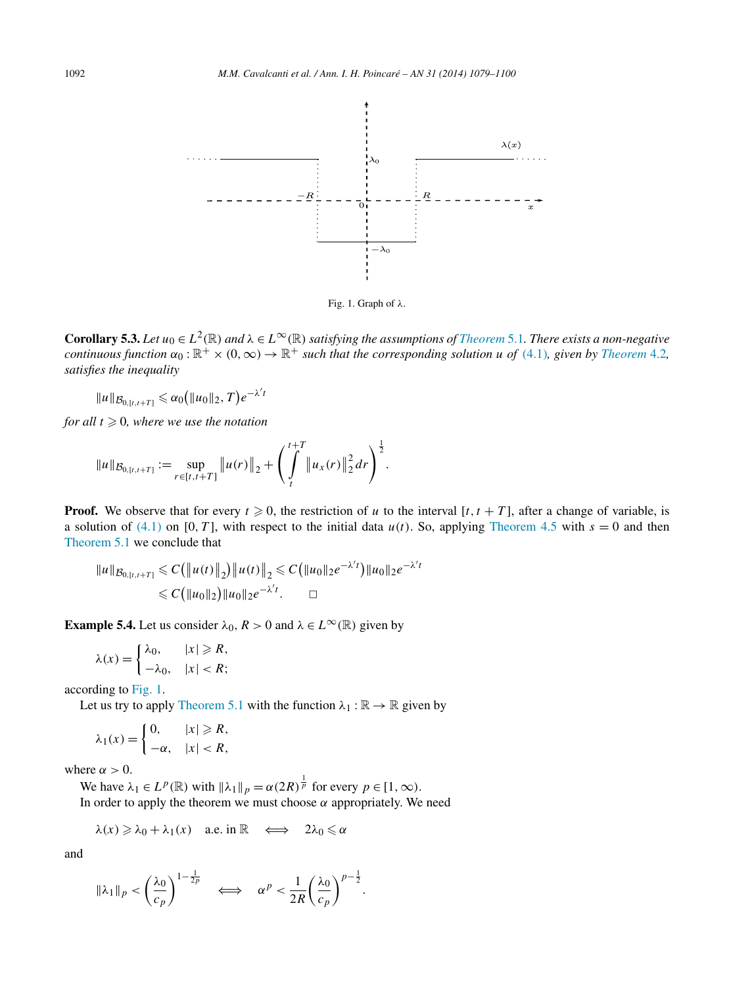<span id="page-13-0"></span>

Fig. 1. Graph of *λ*.

**Corollary 5.3.** Let  $u_0 \in L^2(\mathbb{R})$  and  $\lambda \in L^\infty(\mathbb{R})$  satisfying the assumptions of *[Theorem](#page-12-0)* 5.1. There exists a non-negative *continuous function*  $\alpha_0 : \mathbb{R}^+ \times (0, \infty) \to \mathbb{R}^+$  *such that the corresponding solution u of* [\(4.1\)](#page-6-0)*, given by [Theorem](#page-7-0)* 4.2*, satisfies the inequality*

$$
||u||_{\mathcal{B}_{0,[t,t+T]}} \leq \alpha_0 (||u_0||_2, T) e^{-\lambda' t}
$$

*for all*  $t \geq 0$ *, where we use the notation* 

$$
||u||_{\mathcal{B}_{0,[t,t+T]}} := \sup_{r \in [t,t+T]} ||u(r)||_2 + \left(\int_t^{t+T} ||u_x(r)||_2^2 dr\right)^{\frac{1}{2}}.
$$

**Proof.** We observe that for every  $t \ge 0$ , the restriction of *u* to the interval [*t, t* + *T*], after a change of variable, is a solution of [\(4.1\)](#page-6-0) on [0, T], with respect to the initial data  $u(t)$ . So, applying [Theorem 4.5](#page-8-0) with  $s = 0$  and then [Theorem 5.1](#page-12-0) we conclude that

$$
||u||_{\mathcal{B}_{0,[t,t+T]}} \leq C(||u(t)||_2) ||u(t)||_2 \leq C(||u_0||_2 e^{-\lambda' t}) ||u_0||_2 e^{-\lambda' t}
$$
  

$$
\leq C(||u_0||_2) ||u_0||_2 e^{-\lambda' t}. \qquad \Box
$$

**Example 5.4.** Let us consider  $\lambda_0$ ,  $R > 0$  and  $\lambda \in L^\infty(\mathbb{R})$  given by

$$
\lambda(x) = \begin{cases} \lambda_0, & |x| \ge R, \\ -\lambda_0, & |x| < R; \end{cases}
$$

according to Fig. 1.

Let us try to apply [Theorem](#page-12-0) 5.1 with the function  $\lambda_1 : \mathbb{R} \to \mathbb{R}$  given by

$$
\lambda_1(x) = \begin{cases} 0, & |x| \ge R, \\ -\alpha, & |x| < R, \end{cases}
$$

where  $\alpha > 0$ .

We have  $\lambda_1 \in L^p(\mathbb{R})$  with  $\|\lambda_1\|_p = \alpha(2R)^{\frac{1}{p}}$  for every  $p \in [1, \infty)$ . In order to apply the theorem we must choose  $\alpha$  appropriately. We need

$$
\lambda(x) \geqslant \lambda_0 + \lambda_1(x) \quad \text{a.e. in } \mathbb{R} \quad \Longleftrightarrow \quad 2\lambda_0 \leqslant \alpha
$$

and

$$
\|\lambda_1\|_p < \left(\frac{\lambda_0}{c_p}\right)^{1-\frac{1}{2p}} \quad \Longleftrightarrow \quad \alpha^p < \frac{1}{2R} \left(\frac{\lambda_0}{c_p}\right)^{p-\frac{1}{2}}.
$$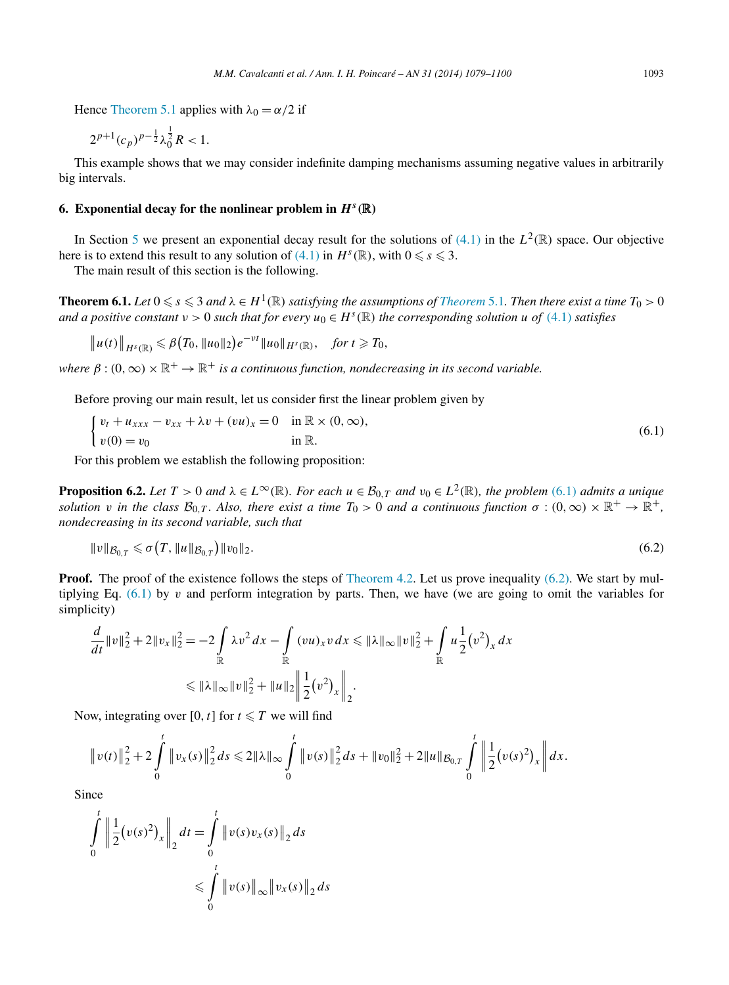<span id="page-14-0"></span>Hence [Theorem 5.1](#page-12-0) applies with  $\lambda_0 = \alpha/2$  if

$$
2^{p+1}(c_p)^{p-\frac{1}{2}}\lambda_0^{\frac{1}{2}}R < 1.
$$

This example shows that we may consider indefinite damping mechanisms assuming negative values in arbitrarily big intervals.

#### **6. Exponential decay for the nonlinear problem in**  $H<sup>s</sup>(\mathbb{R})$

In Section [5](#page-12-0) we present an exponential decay result for the solutions of  $(4.1)$  in the  $L^2(\mathbb{R})$  space. Our objective here is to extend this result to any solution of [\(4.1\)](#page-6-0) in  $H^s(\mathbb{R})$ , with  $0 \le s \le 3$ .

The main result of this section is the following.

**[Theorem](#page-12-0) 6.1.** Let  $0 \le s \le 3$  and  $\lambda \in H^1(\mathbb{R})$  satisfying the assumptions of Theorem 5.1. Then there exist a time  $T_0 > 0$ *and a positive constant*  $v > 0$  *such that for every*  $u_0 \in H^s(\mathbb{R})$  *the corresponding solution*  $u$  *of* [\(4.1\)](#page-6-0) *satisfies* 

$$
\|u(t)\|_{H^{s}(\mathbb{R})}\leq \beta(T_0,\|u_0\|_2)e^{-\nu t}\|u_0\|_{H^{s}(\mathbb{R})},\quad \text{for }t\geq T_0,
$$

*where*  $\beta$  :  $(0, \infty) \times \mathbb{R}^+$   $\rightarrow \mathbb{R}^+$  *is a continuous function, nondecreasing in its second variable.* 

Before proving our main result, let us consider first the linear problem given by

$$
\begin{cases} v_t + u_{xxx} - v_{xx} + \lambda v + (vu)_x = 0 & \text{in } \mathbb{R} \times (0, \infty), \\ v(0) = v_0 & \text{in } \mathbb{R}. \end{cases}
$$
 (6.1)

For this problem we establish the following proposition:

**Proposition 6.2.** Let  $T > 0$  and  $\lambda \in L^{\infty}(\mathbb{R})$ . For each  $u \in \mathcal{B}_{0,T}$  and  $v_0 \in L^2(\mathbb{R})$ , the problem (6.1) admits a unique *solution v* in the class  $\mathcal{B}_{0,T}$ . Also, there exist a time  $T_0 > 0$  and a continuous function  $\sigma : (0,\infty) \times \mathbb{R}^+ \to \mathbb{R}^+$ , *nondecreasing in its second variable, such that*

$$
||v||_{\mathcal{B}_{0,T}} \leq \sigma(T, ||u||_{\mathcal{B}_{0,T}}) ||v_0||_2. \tag{6.2}
$$

**Proof.** The proof of the existence follows the steps of [Theorem 4.2.](#page-7-0) Let us prove inequality (6.2). We start by multiplying Eq. (6.1) by *v* and perform integration by parts. Then, we have (we are going to omit the variables for simplicity)

$$
\frac{d}{dt} ||v||_2^2 + 2||v_x||_2^2 = -2 \int_{\mathbb{R}} \lambda v^2 dx - \int_{\mathbb{R}} (vu)_x v dx \le ||\lambda||_{\infty} ||v||_2^2 + \int_{\mathbb{R}} u \frac{1}{2} (v^2)_x dx
$$
  

$$
\le ||\lambda||_{\infty} ||v||_2^2 + ||u||_2 \left|| \frac{1}{2} (v^2)_x \right||_2.
$$

Now, integrating over [0, t] for  $t \leq T$  we will find

$$
||v(t)||_2^2 + 2\int_0^t ||v_x(s)||_2^2 ds \le 2||\lambda||_\infty \int_0^t ||v(s)||_2^2 ds + ||v_0||_2^2 + 2||u||_{\mathcal{B}_{0,T}} \int_0^t ||\frac{1}{2}(v(s)^2)_x|| dx.
$$

**Since** 

$$
\int_{0}^{t} \left\| \frac{1}{2} (v(s)^{2})_{x} \right\|_{2} dt = \int_{0}^{t} \left\| v(s) v_{x}(s) \right\|_{2} ds
$$
  

$$
\leqslant \int_{0}^{t} \left\| v(s) \right\|_{\infty} \left\| v_{x}(s) \right\|_{2} ds
$$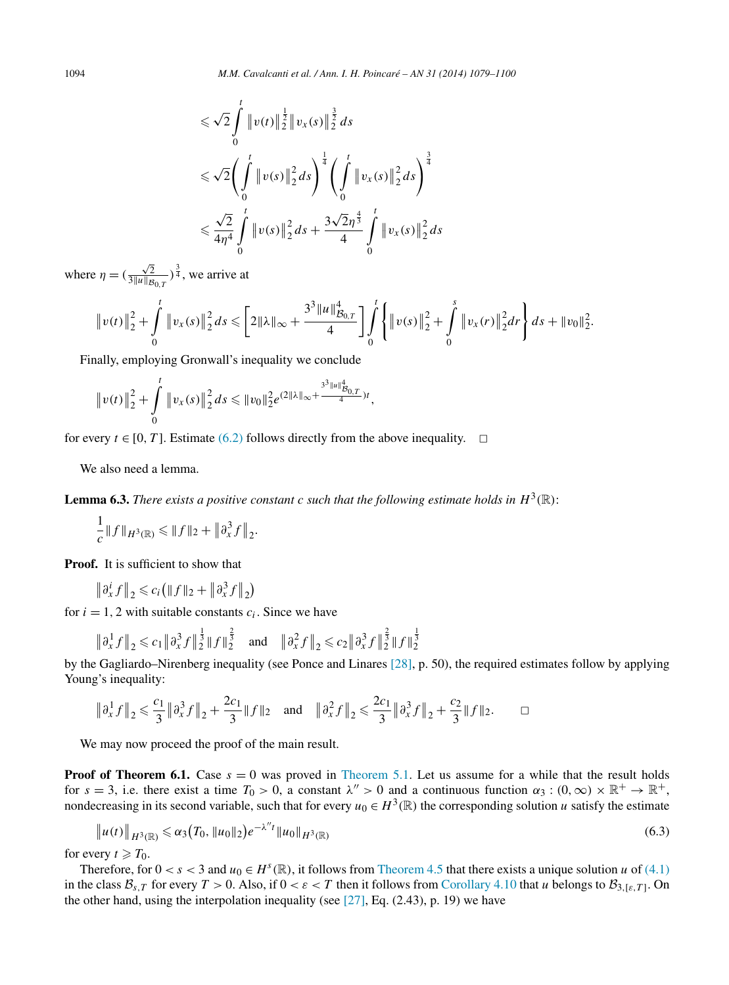<span id="page-15-0"></span>
$$
\leq \sqrt{2} \int_{0}^{t} \|v(t)\|_{2}^{\frac{1}{2}} \|v_{x}(s)\|_{2}^{\frac{3}{2}} ds
$$
  

$$
\leq \sqrt{2} \left( \int_{0}^{t} \|v(s)\|_{2}^{2} ds \right)^{\frac{1}{4}} \left( \int_{0}^{t} \|v_{x}(s)\|_{2}^{2} ds \right)^{\frac{3}{4}}
$$
  

$$
\leq \frac{\sqrt{2}}{4\eta^{4}} \int_{0}^{t} \|v(s)\|_{2}^{2} ds + \frac{3\sqrt{2}\eta^{\frac{4}{3}}}{4} \int_{0}^{t} \|v_{x}(s)\|_{2}^{2} ds
$$

where  $\eta = (\frac{\sqrt{2}}{3||u||_p})$  $\frac{\sqrt{2}}{3||u||_{\mathcal{B}_{0,T}}}$ )<sup> $\frac{3}{4}$ </sup>, we arrive at

$$
\|v(t)\|_2^2 + \int_0^t \|v_x(s)\|_2^2 ds \leqslant \left[2\|\lambda\|_{\infty} + \frac{3^3\|u\|_{\mathcal{B}_{0,T}}^4}{4}\right] \int_0^t \left\{\|v(s)\|_2^2 + \int_0^s \|v_x(r)\|_2^2 dr\right\} ds + \|v_0\|_2^2.
$$

Finally, employing Gronwall's inequality we conclude

$$
||v(t)||_2^2 + \int_0^t ||v_x(s)||_2^2 ds \le ||v_0||_2^2 e^{(2||\lambda||_{\infty} + \frac{3^3 ||u||_{B_{0,T}}^4}{4})t},
$$

for every  $t \in [0, T]$ . Estimate [\(6.2\)](#page-14-0) follows directly from the above inequality.  $\Box$ 

We also need a lemma.

**Lemma 6.3.** *There exists a positive constant c such that the following estimate holds in*  $H^3(\mathbb{R})$ :

$$
\frac{1}{c} ||f||_{H^3(\mathbb{R})} \leq ||f||_2 + ||\partial_x^3 f||_2.
$$

**Proof.** It is sufficient to show that

 $\left\| \partial_x^i f \right\|_2 \leq c_i \left( \|f\|_2 + \left\| \partial_x^3 f \right\|_2 \right)$ 

for  $i = 1, 2$  with suitable constants  $c_i$ . Since we have

$$
\|\partial_x^1 f\|_2 \leq c_1 \|\partial_x^3 f\|_2^{\frac{1}{3}} \|f\|_2^{\frac{2}{3}}
$$
 and  $\|\partial_x^2 f\|_2 \leq c_2 \|\partial_x^3 f\|_2^{\frac{2}{3}} \|f\|_2^{\frac{1}{3}}$ 

by the Gagliardo–Nirenberg inequality (see Ponce and Linares [\[28\],](#page-21-0) p. 50), the required estimates follow by applying Young's inequality:

$$
\|\partial_x^1 f\|_2 \leqslant \frac{c_1}{3} \|\partial_x^3 f\|_2 + \frac{2c_1}{3} \|f\|_2 \quad \text{and} \quad \|\partial_x^2 f\|_2 \leqslant \frac{2c_1}{3} \|\partial_x^3 f\|_2 + \frac{c_2}{3} \|f\|_2.
$$

We may now proceed the proof of the main result.

**Proof of Theorem 6.1.** Case  $s = 0$  was proved in [Theorem 5.1.](#page-12-0) Let us assume for a while that the result holds for  $s = 3$ , i.e. there exist a time  $T_0 > 0$ , a constant  $\lambda'' > 0$  and a continuous function  $\alpha_3 : (0, \infty) \times \mathbb{R}^+ \to \mathbb{R}^+$ , nondecreasing in its second variable, such that for every  $u_0 \in H^3(\mathbb{R})$  the corresponding solution *u* satisfy the estimate

$$
||u(t)||_{H^{3}(\mathbb{R})} \leq \alpha_{3}(T_{0}, ||u_{0}||_{2})e^{-\lambda''t}||u_{0}||_{H^{3}(\mathbb{R})}
$$
\n(6.3)

for every  $t \geq T_0$ .

Therefore, for  $0 < s < 3$  and  $u_0 \in H^s(\mathbb{R})$ , it follows from [Theorem 4.5](#page-8-0) that there exists a unique solution *u* of [\(4.1\)](#page-6-0) in the class  $\mathcal{B}_{s,T}$  for every  $T > 0$ . Also, if  $0 < \varepsilon < T$  then it follows from [Corollary 4.10](#page-11-0) that *u* belongs to  $\mathcal{B}_{3,[\varepsilon,T]}$ . On the other hand, using the interpolation inequality (see  $[27]$ , Eq.  $(2.43)$ , p. 19) we have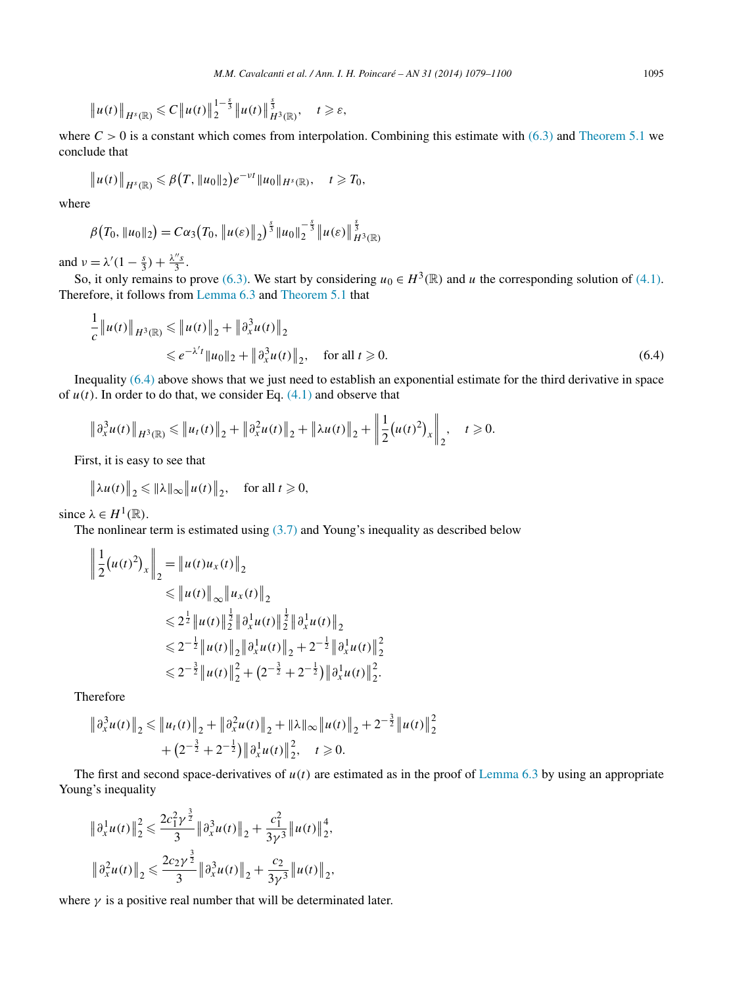<span id="page-16-0"></span>
$$
\|u(t)\|_{H^{s}(\mathbb{R})} \leq C \|u(t)\|_{2}^{1-\frac{s}{3}} \|u(t)\|_{H^{3}(\mathbb{R})}^{\frac{s}{3}}, \quad t \geq s,
$$

where  $C > 0$  is a constant which comes from interpolation. Combining this estimate with [\(6.3\)](#page-15-0) and [Theorem 5.1](#page-12-0) we conclude that

$$
\|u(t)\|_{H^{s}(\mathbb{R})}\leq \beta(T, \|u_0\|_2)e^{-\nu t}\|u_0\|_{H^{s}(\mathbb{R})}, \quad t\geq T_0,
$$

where

$$
\beta\big(T_0, \|u_0\|_2\big) = C\alpha_3\big(T_0, \|u(\varepsilon)\|_2\big)^{\frac{5}{3}}\|u_0\|_2^{-\frac{5}{3}}\|u(\varepsilon)\|_{H^3(\mathbb{R})}^{\frac{5}{3}}
$$

and  $\nu = \lambda'(1 - \frac{s}{3}) + \frac{\lambda''s}{3}$ .

So, it only remains to prove [\(6.3\).](#page-15-0) We start by considering  $u_0 \in H^3(\mathbb{R})$  and *u* the corresponding solution of [\(4.1\).](#page-6-0) Therefore, it follows from [Lemma 6.3](#page-15-0) and [Theorem 5.1](#page-12-0) that

$$
\frac{1}{c} ||u(t)||_{H^{3}(\mathbb{R})} \le ||u(t)||_{2} + ||\partial_{x}^{3}u(t)||_{2}
$$
  
  $\le e^{-\lambda' t} ||u_{0}||_{2} + ||\partial_{x}^{3}u(t)||_{2}, \text{ for all } t \ge 0.$  (6.4)

Inequality (6.4) above shows that we just need to establish an exponential estimate for the third derivative in space of  $u(t)$ . In order to do that, we consider Eq.  $(4.1)$  and observe that

$$
\left\|\partial_x^3 u(t)\right\|_{H^3(\mathbb{R})} \leqslant \left\|u_t(t)\right\|_2 + \left\|\partial_x^2 u(t)\right\|_2 + \left\|\lambda u(t)\right\|_2 + \left\|\frac{1}{2}\left(u(t)^2\right)_x\right\|_2, \quad t \geqslant 0.
$$

First, it is easy to see that

$$
\|\lambda u(t)\|_2 \le \|\lambda\|_{\infty} \|u(t)\|_2, \quad \text{for all } t \ge 0,
$$

since  $\lambda \in H^1(\mathbb{R})$ .

The nonlinear term is estimated using  $(3.7)$  and Young's inequality as described below

$$
\left\| \frac{1}{2} (u(t)^2)_x \right\|_2 = \|u(t)u_x(t)\|_2
$$
  
\n
$$
\leq \|u(t)\|_\infty \|u_x(t)\|_2
$$
  
\n
$$
\leq 2^{\frac{1}{2}} \|u(t)\|_2^{\frac{1}{2}} \|\partial_x^1 u(t)\|_2^{\frac{1}{2}} \|\partial_x^1 u(t)\|_2
$$
  
\n
$$
\leq 2^{-\frac{1}{2}} \|u(t)\|_2 \|\partial_x^1 u(t)\|_2 + 2^{-\frac{1}{2}} \|\partial_x^1 u(t)\|_2^2
$$
  
\n
$$
\leq 2^{-\frac{3}{2}} \|u(t)\|_2^2 + (2^{-\frac{3}{2}} + 2^{-\frac{1}{2}}) \|\partial_x^1 u(t)\|_2^2.
$$

Therefore

$$
\|\partial_x^3 u(t)\|_2 \le \|u_t(t)\|_2 + \|\partial_x^2 u(t)\|_2 + \|\lambda\|_{\infty} \|u(t)\|_2 + 2^{-\frac{3}{2}} \|u(t)\|_2^2
$$
  
+  $(2^{-\frac{3}{2}} + 2^{-\frac{1}{2}}) \|\partial_x^1 u(t)\|_2^2, \quad t \ge 0.$ 

The first and second space-derivatives of  $u(t)$  are estimated as in the proof of [Lemma 6.3](#page-15-0) by using an appropriate Young's inequality

$$
\begin{aligned} &\left\|\partial_{x}^{1}u(t)\right\|_{2}^{2} \leq \frac{2c_{1}^{2}\gamma^{\frac{3}{2}}}{3}\left\|\partial_{x}^{3}u(t)\right\|_{2}+\frac{c_{1}^{2}}{3\gamma^{3}}\left\|u(t)\right\|_{2}^{4},\\ &\left\|\partial_{x}^{2}u(t)\right\|_{2} \leq \frac{2c_{2}\gamma^{\frac{3}{2}}}{3}\left\|\partial_{x}^{3}u(t)\right\|_{2}+\frac{c_{2}}{3\gamma^{3}}\left\|u(t)\right\|_{2}, \end{aligned}
$$

where  $\gamma$  is a positive real number that will be determinated later.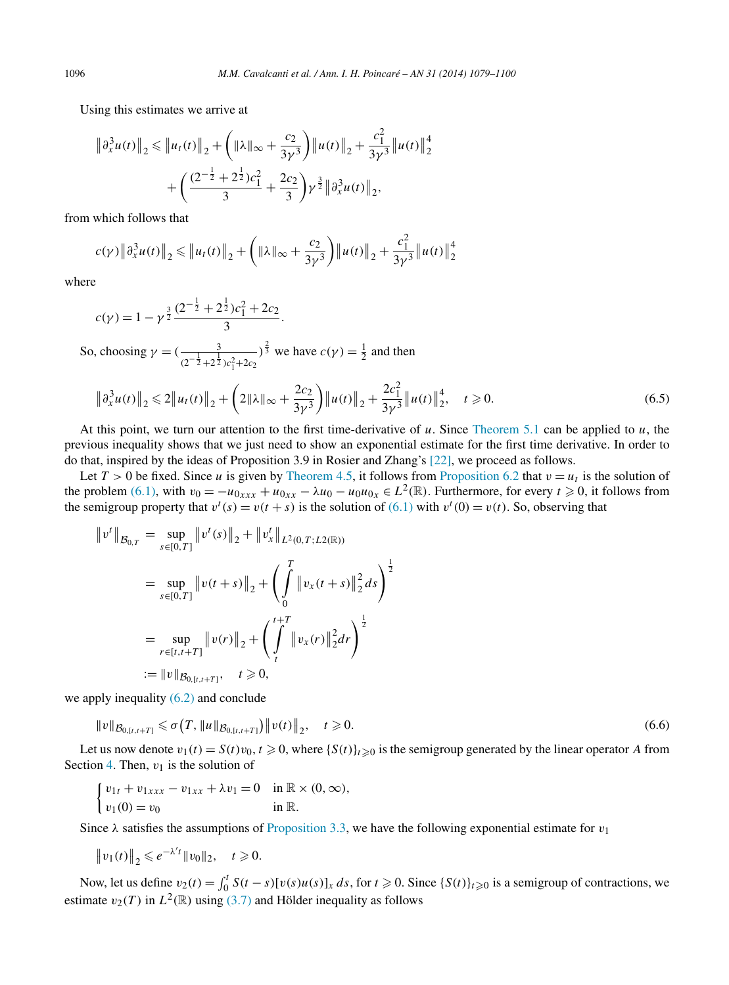<span id="page-17-0"></span>Using this estimates we arrive at

$$
\begin{aligned} \left\| \partial_x^3 u(t) \right\|_2 &\leq \left\| u_t(t) \right\|_2 + \left( \|\lambda\|_\infty + \frac{c_2}{3\gamma^3} \right) \left\| u(t) \right\|_2 + \frac{c_1^2}{3\gamma^3} \left\| u(t) \right\|_2^4 \\ &+ \left( \frac{(2^{-\frac{1}{2}} + 2^{\frac{1}{2}})c_1^2}{3} + \frac{2c_2}{3} \right) \gamma^{\frac{3}{2}} \left\| \partial_x^3 u(t) \right\|_2, \end{aligned}
$$

from which follows that

$$
c(\gamma) \left\| \partial_x^3 u(t) \right\|_2 \le \left\| u_t(t) \right\|_2 + \left( \|\lambda\|_\infty + \frac{c_2}{3\gamma^3} \right) \left\| u(t) \right\|_2 + \frac{c_1^2}{3\gamma^3} \left\| u(t) \right\|_2^4
$$

where

$$
c(\gamma) = 1 - \gamma^{\frac{3}{2}} \frac{(2^{-\frac{1}{2}} + 2^{\frac{1}{2}})c_1^2 + 2c_2}{3}.
$$

So, choosing  $\gamma = (\frac{3}{(2^{-\frac{1}{2}} + 2^{\frac{1}{2}})c_1^2 + 2c_2})$  $2^{\frac{2}{3}}$  we have  $c(\gamma) = \frac{1}{2}$  and then

$$
\left\|\partial_x^3 u(t)\right\|_2 \leq 2\left\|u_t(t)\right\|_2 + \left(2\|\lambda\|_\infty + \frac{2c_2}{3\gamma^3}\right) \left\|u(t)\right\|_2 + \frac{2c_1^2}{3\gamma^3} \left\|u(t)\right\|_2^4, \quad t \geq 0. \tag{6.5}
$$

At this point, we turn our attention to the first time-derivative of *u*. Since [Theorem 5.1](#page-12-0) can be applied to *u*, the previous inequality shows that we just need to show an exponential estimate for the first time derivative. In order to do that, inspired by the ideas of Proposition 3.9 in Rosier and Zhang's [\[22\],](#page-21-0) we proceed as follows.

Let  $T > 0$  be fixed. Since *u* is given by [Theorem 4.5,](#page-8-0) it follows from [Proposition 6.2](#page-14-0) that  $v = u_t$  is the solution of the problem [\(6.1\),](#page-14-0) with  $v_0 = -u_{0xxx} + u_{0xx} - \lambda u_0 - u_0 u_{0x} \in L^2(\mathbb{R})$ . Furthermore, for every  $t \ge 0$ , it follows from the semigroup property that  $v^t(s) = v(t + s)$  is the solution of [\(6.1\)](#page-14-0) with  $v^t(0) = v(t)$ . So, observing that

$$
\|v^t\|_{\mathcal{B}_{0,T}} = \sup_{s \in [0,T]} \|v^t(s)\|_2 + \|v^t_x\|_{L^2(0,T;L^2(\mathbb{R}))}
$$
  

$$
= \sup_{s \in [0,T]} \|v(t+s)\|_2 + \left(\int_0^T \|v_x(t+s)\|_2^2 ds\right)^{\frac{1}{2}}
$$
  

$$
= \sup_{r \in [t,t+T]} \|v(r)\|_2 + \left(\int_t^{t+T} \|v_x(r)\|_2^2 dr\right)^{\frac{1}{2}}
$$
  

$$
:= \|v\|_{\mathcal{B}_{0,[t,t+T]}}, \quad t \ge 0,
$$

we apply inequality  $(6.2)$  and conclude

$$
||v||_{\mathcal{B}_{0,[t,t+T]}} \leq \sigma\big(T, ||u||_{\mathcal{B}_{0,[t,t+T]}}\big) ||v(t)||_2, \quad t \geq 0. \tag{6.6}
$$

Let us now denote  $v_1(t) = S(t)v_0, t \ge 0$ , where  $\{S(t)\}_{t \ge 0}$  is the semigroup generated by the linear operator *A* from Section [4.](#page-6-0) Then,  $v_1$  is the solution of

$$
\begin{cases} v_{1t} + v_{1xxx} - v_{1xx} + \lambda v_1 = 0 & \text{in } \mathbb{R} \times (0, \infty), \\ v_1(0) = v_0 & \text{in } \mathbb{R}. \end{cases}
$$

Since  $\lambda$  satisfies the assumptions of [Proposition 3.3,](#page-5-0) we have the following exponential estimate for  $v_1$ 

$$
||v_1(t)||_2 \le e^{-\lambda' t} ||v_0||_2, \quad t \ge 0.
$$

Now, let us define  $v_2(t) = \int_0^t S(t-s)[v(s)u(s)]_x ds$ , for  $t \ge 0$ . Since  $\{S(t)\}_{t \ge 0}$  is a semigroup of contractions, we estimate  $v_2(T)$  in  $L^2(\mathbb{R})$  using [\(3.7\)](#page-5-0) and Hölder inequality as follows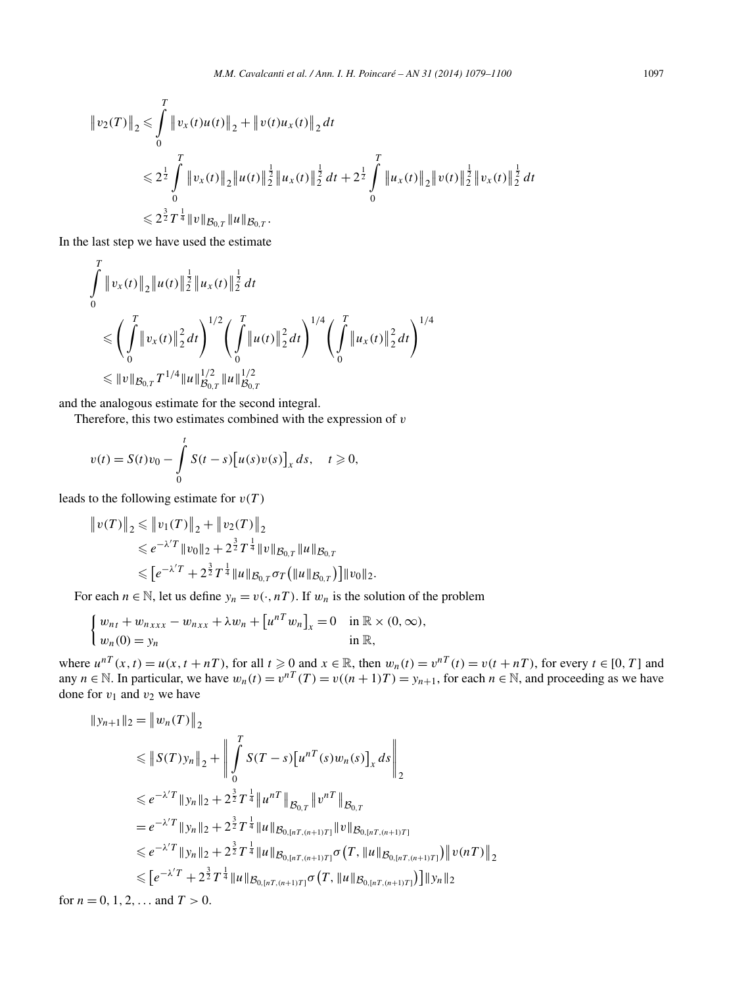$$
\|v_2(T)\|_2 \leq \int_0^T \|v_x(t)u(t)\|_2 + \|v(t)u_x(t)\|_2 dt
$$
  

$$
\leq 2^{\frac{1}{2}} \int_0^T \|v_x(t)\|_2 \|u(t)\|_2^{\frac{1}{2}} \|u_x(t)\|_2^{\frac{1}{2}} dt + 2^{\frac{1}{2}} \int_0^T \|u_x(t)\|_2 \|v(t)\|_2^{\frac{1}{2}} \|v_x(t)\|_2^{\frac{1}{2}} dt
$$
  

$$
\leq 2^{\frac{3}{2}} T^{\frac{1}{4}} \|v\|_{\mathcal{B}_{0,T}} \|u\|_{\mathcal{B}_{0,T}}.
$$

In the last step we have used the estimate

$$
\int_{0}^{T} \|v_{x}(t)\|_{2} \|u(t)\|_{2}^{\frac{1}{2}} \|u_{x}(t)\|_{2}^{\frac{1}{2}} dt
$$
\n
$$
\leqslant \left(\int_{0}^{T} \|v_{x}(t)\|_{2}^{2} dt\right)^{1/2} \left(\int_{0}^{T} \|u(t)\|_{2}^{2} dt\right)^{1/4} \left(\int_{0}^{T} \|u_{x}(t)\|_{2}^{2} dt\right)^{1/4}
$$
\n
$$
\leqslant \|v\|_{\mathcal{B}_{0,T}} T^{1/4} \|u\|_{\mathcal{B}_{0,T}}^{1/2} \|u\|_{\mathcal{B}_{0,T}}^{1/2}
$$

and the analogous estimate for the second integral.

Therefore, this two estimates combined with the expression of *v*

$$
v(t) = S(t)v_0 - \int_0^t S(t-s) [u(s)v(s)]_x ds, \quad t \geq 0,
$$

leads to the following estimate for  $v(T)$ 

$$
\|v(T)\|_2 \le \|v_1(T)\|_2 + \|v_2(T)\|_2
$$
  
\n
$$
\le e^{-\lambda'T} \|v_0\|_2 + 2^{\frac{3}{2}} T^{\frac{1}{4}} \|v\|_{\mathcal{B}_{0,T}} \|u\|_{\mathcal{B}_{0,T}}
$$
  
\n
$$
\le [e^{-\lambda'T} + 2^{\frac{3}{2}} T^{\frac{1}{4}} \|u\|_{\mathcal{B}_{0,T}} \sigma_T \left(\|u\|_{\mathcal{B}_{0,T}}\right) \|v_0\|_2.
$$

For each  $n \in \mathbb{N}$ , let us define  $y_n = v(\cdot, nT)$ . If  $w_n$  is the solution of the problem

$$
\begin{cases} w_{nt} + w_{nxxx} - w_{nxx} + \lambda w_n + \left[ u^{nT} w_n \right]_x = 0 & \text{in } \mathbb{R} \times (0, \infty), \\ w_n(0) = y_n & \text{in } \mathbb{R}, \end{cases}
$$

where  $u^{nT}(x, t) = u(x, t + nT)$ , for all  $t \ge 0$  and  $x \in \mathbb{R}$ , then  $w_n(t) = v^{nT}(t) = v(t + nT)$ , for every  $t \in [0, T]$  and any  $n \in \mathbb{N}$ . In particular, we have  $w_n(t) = v^{nT}(T) = v((n+1)T) = y_{n+1}$ , for each  $n \in \mathbb{N}$ , and proceeding as we have done for  $v_1$  and  $v_2$  we have

$$
\|y_{n+1}\|_2 = \|w_n(T)\|_2
$$
  
\n
$$
\leq \|S(T)y_n\|_2 + \left\| \int_0^T S(T-s) [u^{nT}(s)w_n(s)]_x ds \right\|_2
$$
  
\n
$$
\leq e^{-\lambda' T} \|y_n\|_2 + 2^{\frac{3}{2}} T^{\frac{1}{4}} \|u^{nT}\|_{\mathcal{B}_{0,T}} \|v^{nT}\|_{\mathcal{B}_{0,T}}
$$
  
\n
$$
= e^{-\lambda' T} \|y_n\|_2 + 2^{\frac{3}{2}} T^{\frac{1}{4}} \|u\|_{\mathcal{B}_{0,[nT,(n+1)T]}} \|v\|_{\mathcal{B}_{0,[nT,(n+1)T]}}\
$$
  
\n
$$
\leq e^{-\lambda' T} \|y_n\|_2 + 2^{\frac{3}{2}} T^{\frac{1}{4}} \|u\|_{\mathcal{B}_{0,[nT,(n+1)T]}} \sigma(T, \|u\|_{\mathcal{B}_{0,[nT,(n+1)T]}}) \|v(nT)\|_2
$$
  
\n
$$
\leq [e^{-\lambda' T} + 2^{\frac{3}{2}} T^{\frac{1}{4}} \|u\|_{\mathcal{B}_{0,[nT,(n+1)T]}} \sigma(T, \|u\|_{\mathcal{B}_{0,[nT,(n+1)T]}})) \|y_n\|_2
$$

for  $n = 0, 1, 2, \ldots$  and  $T > 0$ .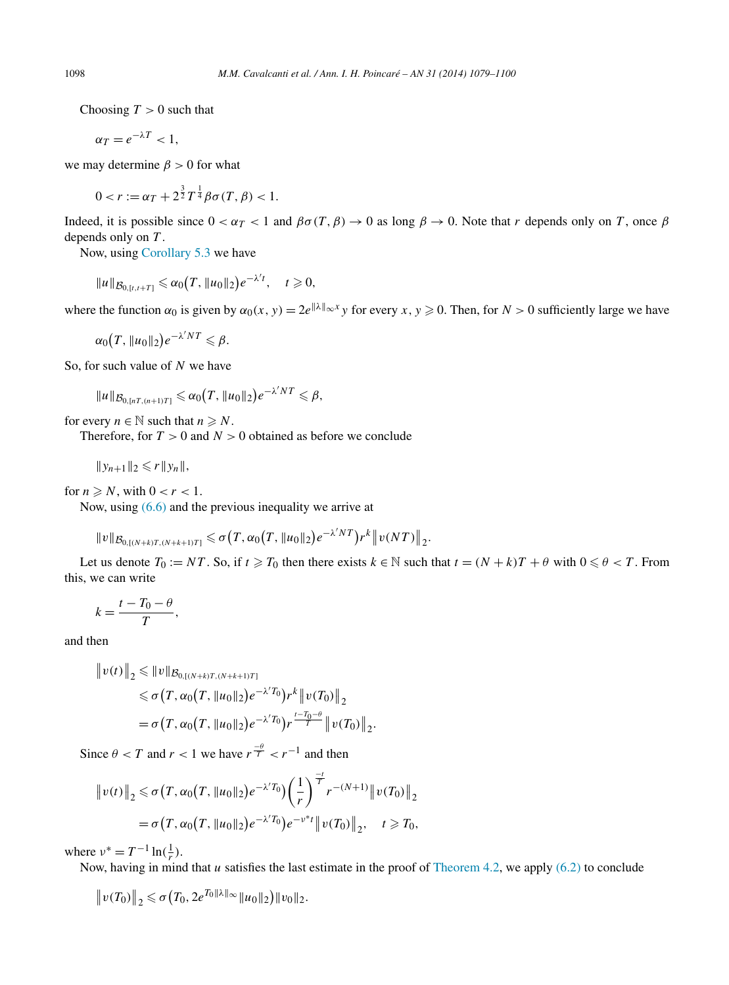Choosing  $T > 0$  such that

$$
\alpha_T = e^{-\lambda T} < 1,
$$

we may determine *β >* 0 for what

$$
0 < r := \alpha_T + 2^{\frac{3}{2}} T^{\frac{1}{4}} \beta \sigma(T, \beta) < 1.
$$

Indeed, it is possible since  $0 < \alpha_T < 1$  and  $\beta\sigma(T, \beta) \to 0$  as long  $\beta \to 0$ . Note that *r* depends only on *T*, once  $\beta$ depends only on *T* .

Now, using [Corollary](#page-13-0) 5.3 we have

$$
||u||_{\mathcal{B}_{0,[t,t+T]}} \leq \alpha_0(T, ||u_0||_2) e^{-\lambda' t}, \quad t \geq 0,
$$

where the function  $\alpha_0$  is given by  $\alpha_0(x, y) = 2e^{\|\lambda\| \infty x}y$  for every  $x, y \ge 0$ . Then, for  $N > 0$  sufficiently large we have

 $\alpha_0(T, \|u_0\|_2) e^{-\lambda'NT} \leq \beta.$ 

So, for such value of *N* we have

$$
||u||_{\mathcal{B}_{0,[nT,(n+1)T]}} \leqslant \alpha_0(T, ||u_0||_2) e^{-\lambda' NT} \leqslant \beta,
$$

for every  $n \in \mathbb{N}$  such that  $n \ge N$ .

Therefore, for  $T > 0$  and  $N > 0$  obtained as before we conclude

$$
||y_{n+1}||_2 \leqslant r||y_n||,
$$

for  $n \ge N$ , with  $0 < r < 1$ .

Now, using [\(6.6\)](#page-17-0) and the previous inequality we arrive at

 $||v||_{\mathcal{B}_{0,[(N+k)T,(N+k+1)T]}} \leq \sigma(T, \alpha_0(T, ||u_0||_2)e^{-\lambda'NT})r^k||v(NT)||_2.$ 

Let us denote  $T_0 := NT$ . So, if  $t \ge T_0$  then there exists  $k \in \mathbb{N}$  such that  $t = (N + k)T + \theta$  with  $0 \le \theta < T$ . From this, we can write

$$
k=\frac{t-T_0-\theta}{T},
$$

and then

$$
\|v(t)\|_2 \le \|v\|_{\mathcal{B}_{0,\left[(N+k)T,(N+k+1)T\right]}}\le \sigma\big(T, \alpha_0\big(T, \|u_0\|_2\big)e^{-\lambda'T_0}\big)r^k \|v(T_0)\|_2= \sigma\big(T, \alpha_0\big(T, \|u_0\|_2\big)e^{-\lambda'T_0}\big)r^{\frac{t-T_0-\theta}{T}} \|v(T_0)\|_2.
$$

Since  $\theta < T$  and  $r < 1$  we have  $r^{\frac{-\theta}{T}} < r^{-1}$  and then

$$
\|v(t)\|_2 \leq \sigma\big(T, \alpha_0\big(T, \|u_0\|_2\big)e^{-\lambda' T_0}\big)\bigg(\frac{1}{r}\bigg)^{\frac{-t}{T}}r^{-(N+1)}\|v(T_0)\|_2
$$
  
=  $\sigma\big(T, \alpha_0\big(T, \|u_0\|_2\big)e^{-\lambda' T_0}\big)e^{-v^*t}\|v(T_0)\|_2, \quad t \geq T_0,$ 

where  $v^* = T^{-1} \ln(\frac{1}{r}).$ 

Now, having in mind that *u* satisfies the last estimate in the proof of [Theorem 4.2,](#page-7-0) we apply [\(6.2\)](#page-14-0) to conclude

$$
||v(T_0)||_2 \leq \sigma(T_0, 2e^{T_0||\lambda||_{\infty}}||u_0||_2)||v_0||_2.
$$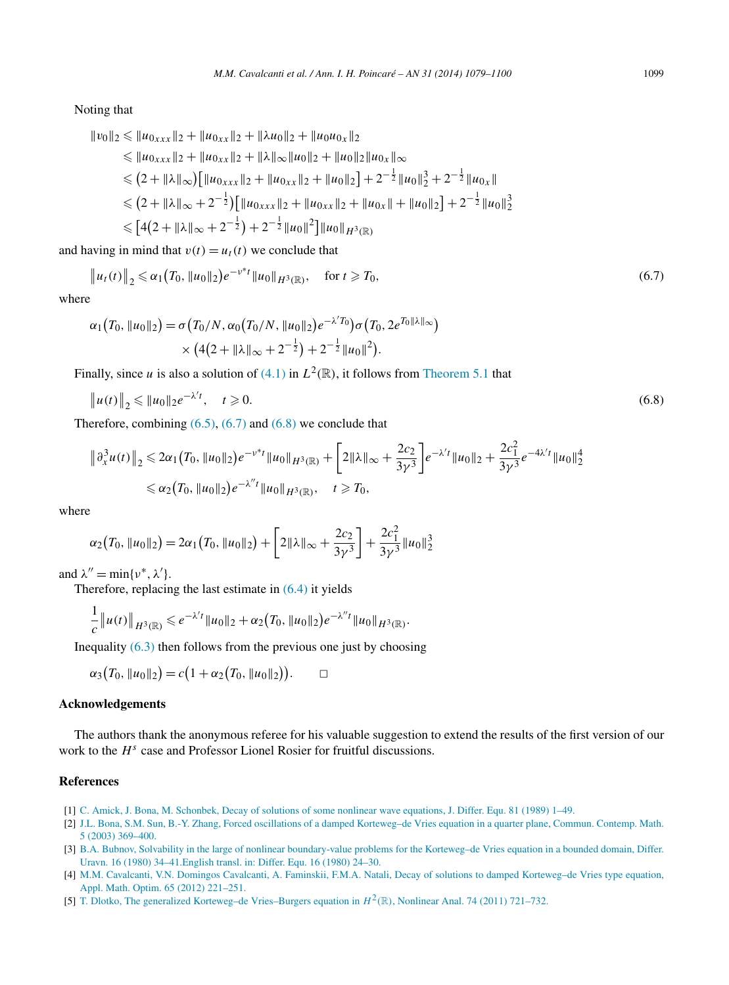<span id="page-20-0"></span>Noting that

$$
\|v_0\|_2 \le \|u_{0xxx}\|_2 + \|u_{0xx}\|_2 + \|\lambda u_0\|_2 + \|u_0u_{0x}\|_2
$$
  
\n
$$
\le \|u_{0xxx}\|_2 + \|u_{0xx}\|_2 + \|\lambda\|_{\infty} \|u_0\|_2 + \|u_0\|_2 \|u_{0x}\|_{\infty}
$$
  
\n
$$
\le (2 + \|\lambda\|_{\infty}) \Big[ \|u_{0xxx}\|_2 + \|u_{0xx}\|_2 + \|u_0\|_2 \Big] + 2^{-\frac{1}{2}} \|u_0\|_2^3 + 2^{-\frac{1}{2}} \|u_{0x}\|
$$
  
\n
$$
\le (2 + \|\lambda\|_{\infty} + 2^{-\frac{1}{2}}) \Big[ \|u_{0xxx}\|_2 + \|u_{0xx}\|_2 + \|u_{0x}\| + \|u_0\|_2 \Big] + 2^{-\frac{1}{2}} \|u_0\|_2^3
$$
  
\n
$$
\le [4(2 + \|\lambda\|_{\infty} + 2^{-\frac{1}{2}}) + 2^{-\frac{1}{2}} \|u_0\|^2 \Big] \|u_0\|_{H^3(\mathbb{R})}
$$

and having in mind that  $v(t) = u_t(t)$  we conclude that

$$
\|u_t(t)\|_2 \leq \alpha_1 \big(T_0, \|u_0\|_2\big) e^{-\nu^* t} \|u_0\|_{H^3(\mathbb{R})}, \quad \text{for } t \geq T_0,
$$
\n
$$
(6.7)
$$

where

$$
\alpha_1(T_0, \|u_0\|_2) = \sigma(T_0/N, \alpha_0(T_0/N, \|u_0\|_2) e^{-\lambda' T_0}) \sigma(T_0, 2e^{T_0\|\lambda\|_\infty})
$$
  
 
$$
\times (4(2 + \|\lambda\|_\infty + 2^{-\frac{1}{2}}) + 2^{-\frac{1}{2}}\|u_0\|^2).
$$

Finally, since *u* is also a solution of [\(4.1\)](#page-6-0) in  $L^2(\mathbb{R})$ , it follows from [Theorem 5.1](#page-12-0) that

$$
\|u(t)\|_2 \le \|u_0\|_2 e^{-\lambda' t}, \quad t \ge 0. \tag{6.8}
$$

Therefore, combining  $(6.5)$ ,  $(6.7)$  and  $(6.8)$  we conclude that

$$
\|\partial_x^3 u(t)\|_2 \leq 2\alpha_1 (T_0, \|u_0\|_2) e^{-\nu^* t} \|u_0\|_{H^3(\mathbb{R})} + \left[2\|\lambda\|_{\infty} + \frac{2c_2}{3\nu^3}\right] e^{-\lambda' t} \|u_0\|_2 + \frac{2c_1^2}{3\nu^3} e^{-4\lambda' t} \|u_0\|_2^4
$$
  

$$
\leq \alpha_2 (T_0, \|u_0\|_2) e^{-\lambda'' t} \|u_0\|_{H^3(\mathbb{R})}, \quad t \geq T_0,
$$

where

$$
\alpha_2(T_0, \|u_0\|_2) = 2\alpha_1(T_0, \|u_0\|_2) + \left[2\|\lambda\|_{\infty} + \frac{2c_2}{3\gamma^3}\right] + \frac{2c_1^2}{3\gamma^3} \|u_0\|_2^3
$$

and  $\lambda'' = \min\{\nu^*, \lambda'\}.$ 

Therefore, replacing the last estimate in [\(6.4\)](#page-16-0) it yields

$$
\frac{1}{c} ||u(t)||_{H^3(\mathbb{R})} \leqslant e^{-\lambda' t} ||u_0||_2 + \alpha_2 (T_0, ||u_0||_2) e^{-\lambda'' t} ||u_0||_{H^3(\mathbb{R})}.
$$

Inequality  $(6.3)$  then follows from the previous one just by choosing

$$
\alpha_3(T_0, \|u_0\|_2) = c(1 + \alpha_2(T_0, \|u_0\|_2)). \qquad \Box
$$

#### **Acknowledgements**

The authors thank the anonymous referee for his valuable suggestion to extend the results of the first version of our work to the *H<sup>s</sup>* case and Professor Lionel Rosier for fruitful discussions.

#### **References**

- [1] [C. Amick, J. Bona, M. Schonbek, Decay of solutions of some nonlinear wave equations, J. Differ. Equ. 81 \(1989\) 1–49.](http://refhub.elsevier.com/S0294-1449(13)00098-X/bib416D69426F6E53636831393839s1)
- [2] J.L. [Bona, S.M. Sun, B.-Y. Zhang, Forced oscillations of a damped Korteweg–de Vries equation in a quarter plane, Commun. Contemp. Math.](http://refhub.elsevier.com/S0294-1449(13)00098-X/bib426F6E53756E5A686132303033s1) [5 \(2003\) 369–400.](http://refhub.elsevier.com/S0294-1449(13)00098-X/bib426F6E53756E5A686132303033s1)
- [3] B.A. [Bubnov, Solvability in the large of nonlinear boundary-value problems for the Korteweg–de Vries equation in a bounded domain, Differ.](http://refhub.elsevier.com/S0294-1449(13)00098-X/bib42756231393830s1) [Uravn. 16 \(1980\) 34–41.English transl. in: Differ. Equ. 16 \(1980\) 24–30.](http://refhub.elsevier.com/S0294-1449(13)00098-X/bib42756231393830s1)
- [4] M.M. [Cavalcanti, V.N. Domingos Cavalcanti, A. Faminskii, F.M.A. Natali, Decay of solutions to damped Korteweg–de Vries type equation,](http://refhub.elsevier.com/S0294-1449(13)00098-X/bib4361764443617646616D4E617432303132s1) [Appl. Math. Optim. 65 \(2012\) 221–251.](http://refhub.elsevier.com/S0294-1449(13)00098-X/bib4361764443617646616D4E617432303132s1)
- [5] [T. Dlotko, The generalized Korteweg–de Vries–Burgers equation in](http://refhub.elsevier.com/S0294-1449(13)00098-X/bib446C6F32303131s1)  $H^2(\mathbb{R})$ , Nonlinear Anal. 74 (2011) 721–732.